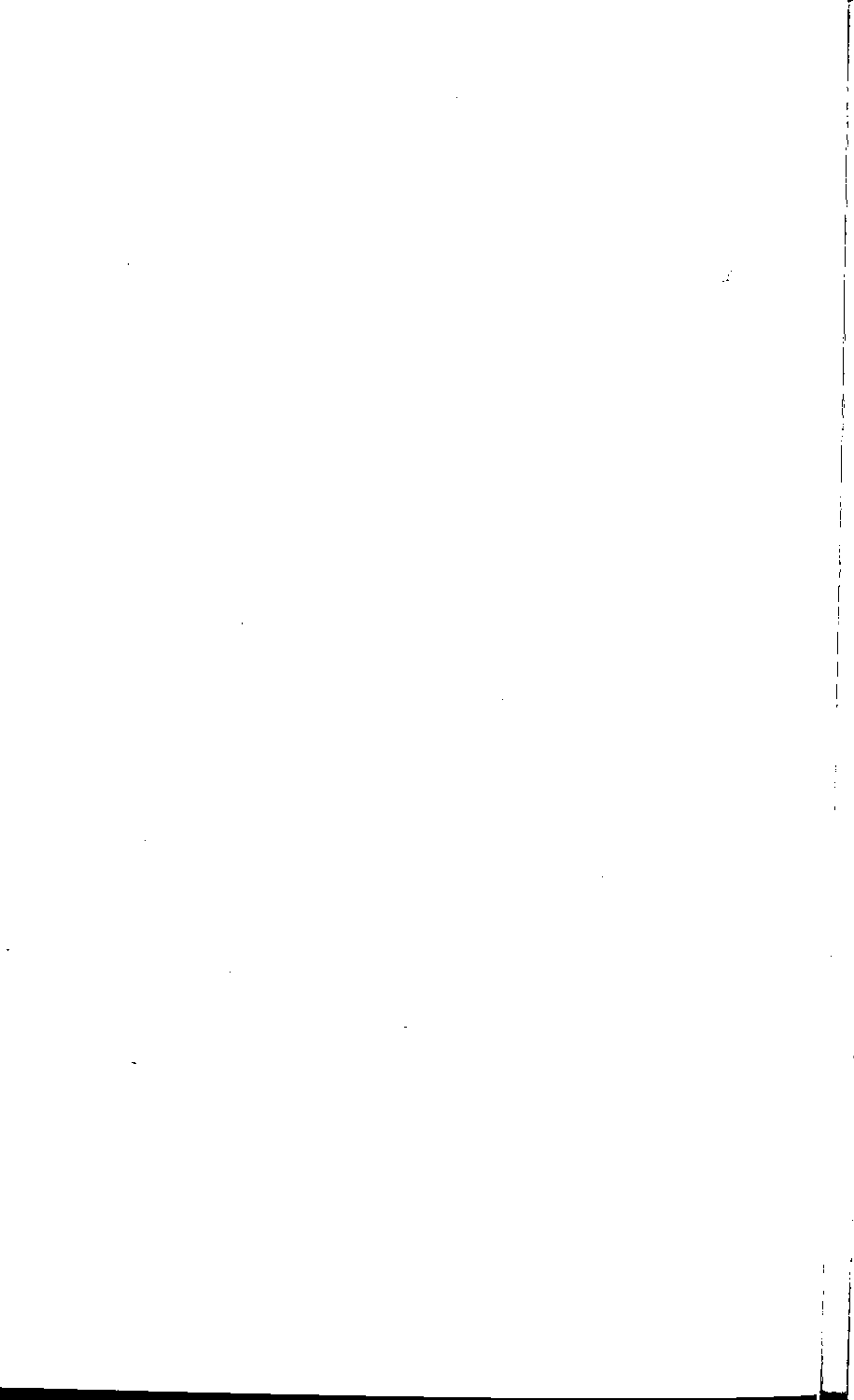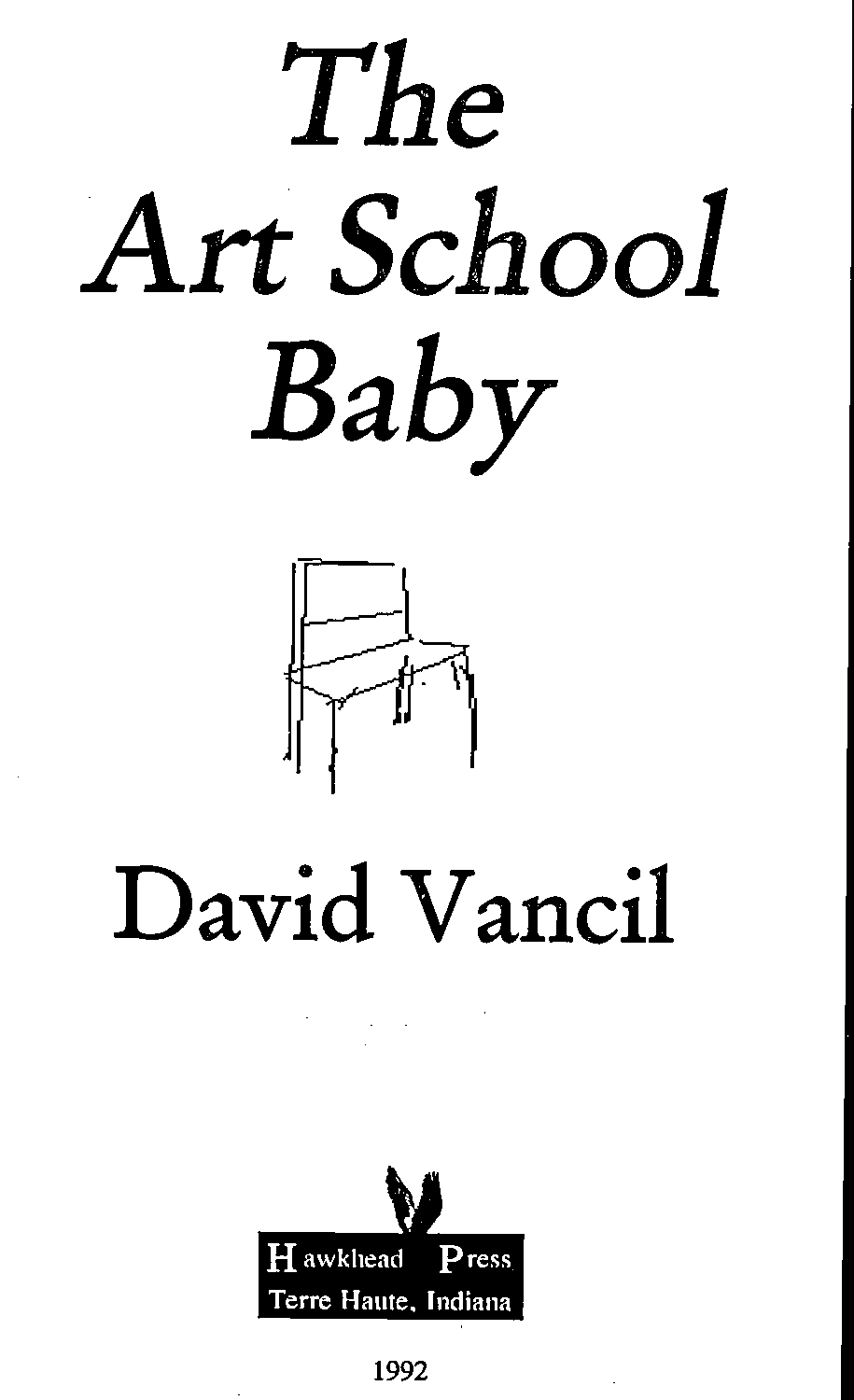



# **David Vancil**

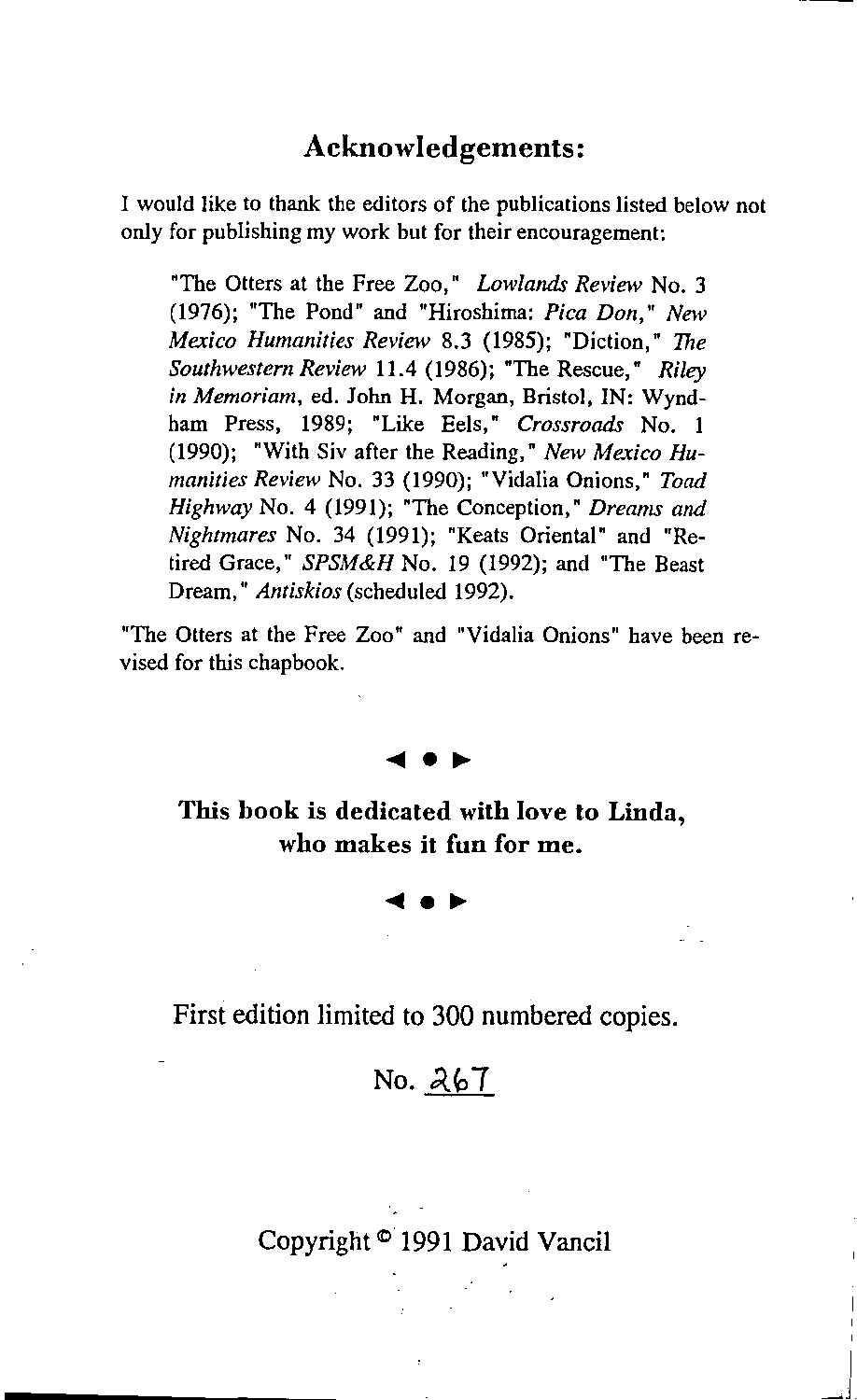#### Acknowledgements:

**I would like to thank: the editors of the publications listed below not only for publishing my work but for their encouragement:**

**"The Otters at the Free Zoo, <sup>n</sup>** *Lowlands Review* **No.3 (1976); "The Pond" and "Hiroshima:** *Pica Don," New Mexico Humanities Review* **8.3 (1985); "Diction,"** *The Southwestern Review* **11.4 (1986); "The Rescue, If** *Riley in Memoriam,* **ed. John H. Morgan, Bristol, IN: Wyndham Press, 1989; "Like Eels,"** *Crossroads* **No. 1 (1990); "With Siv after the Reading,"** *New Mexico Humanities Review* **No. 33 (1990); "Vidalia Onions,"** *Toad Highway* **No.4 (1991); "The Conception,"** *Dreams and Nightmares* No. 34 (1991); "Keats Oriental" and "Retired Grace," *SPSM&H* No. 19 (1992); and "The Beast Dream," *Antiskios* (scheduled 1992).

**"The Otters at the Free Zoo" and "Vidalia Onions" have been revised for this chapbook.**

.... This book is dedicated with love to Linda, **who makes it fun for me..**

# ....

First edition limited to 300 numbered copies.

#### No. 267

#### Copyright<sup>®</sup> 1991 David Vancil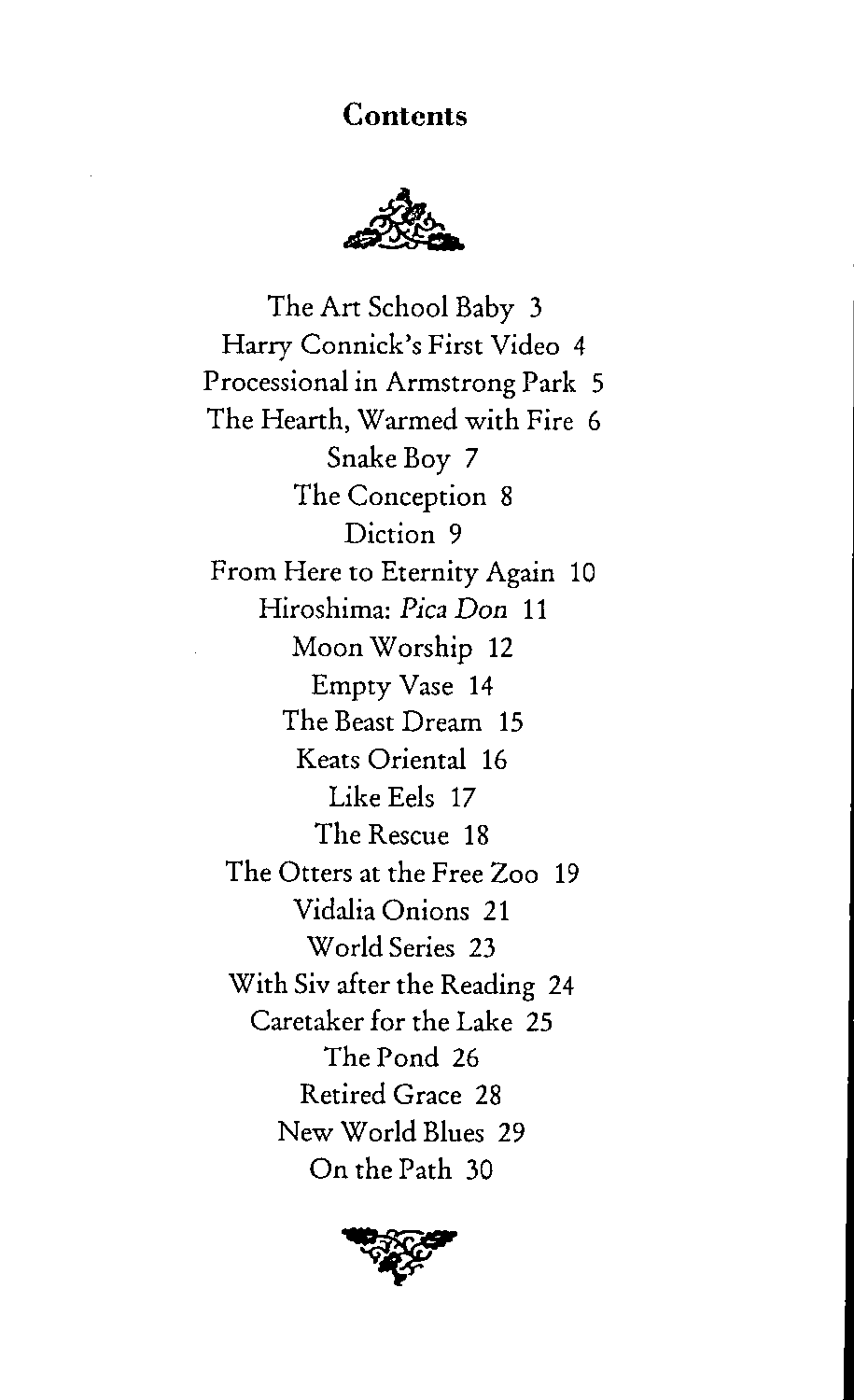#### **Contents**



The Art School Baby 3 Harry Connick's First Video 4 Processional in Armstrong Park 5 The Hearth, Warmed with Fire 6 Snake Boy 7 The Conception 8 Diction 9 From Here to Eternity Again 10 Hiroshima: Pica *Don* 11 Moon Worship 12 Empty Vase 14 The Beast Dream 15 Keats Oriental 16 Like Eels 17 The Rescue 18 The Otters at the Free Zoo 19 Vidalia Onions 21 World Series 23 With Siv after the Reading 24 Caretaker for the Lake 25 The Pond 26 Retired Grace 28 New World Blues 29 On the Path 30

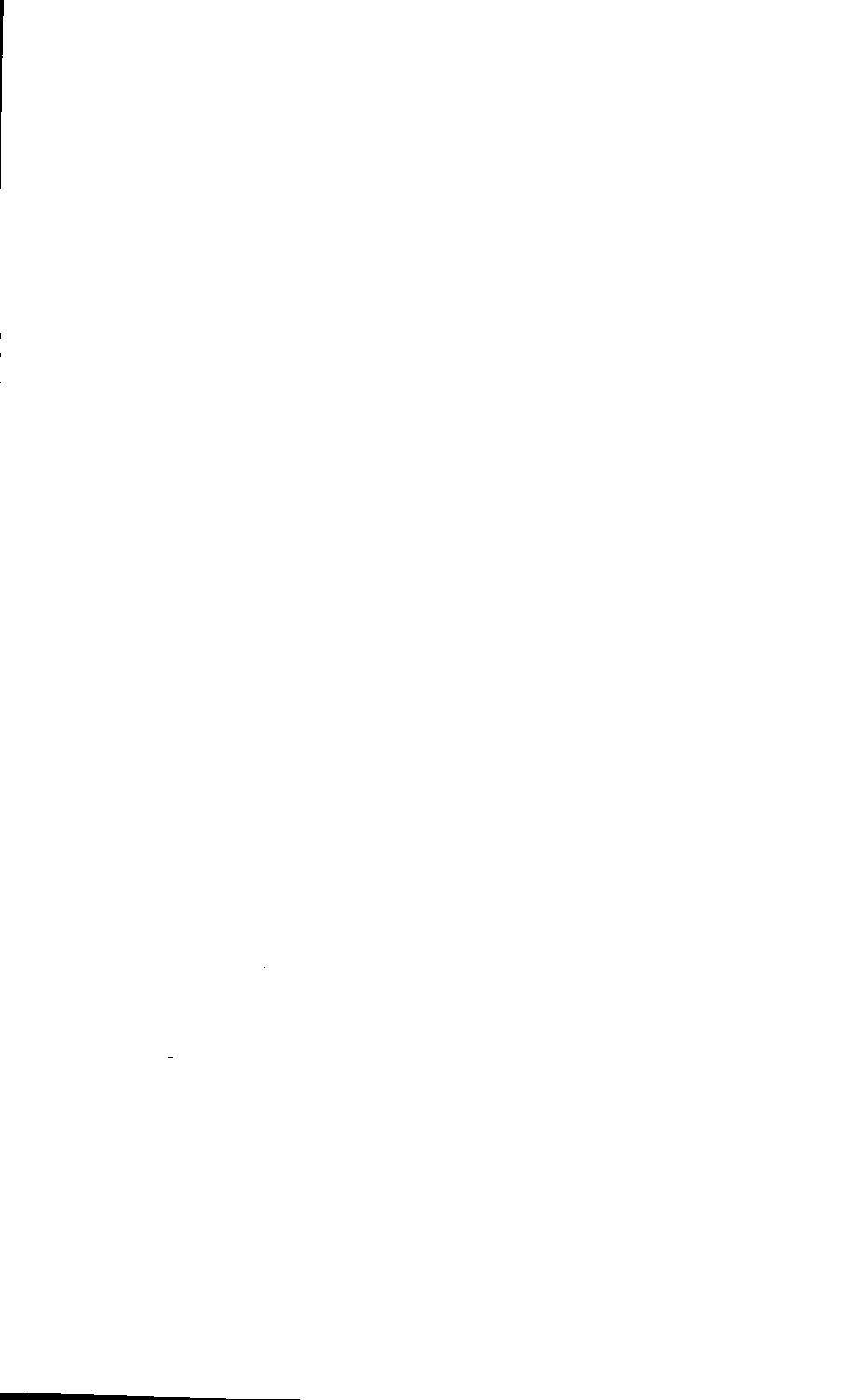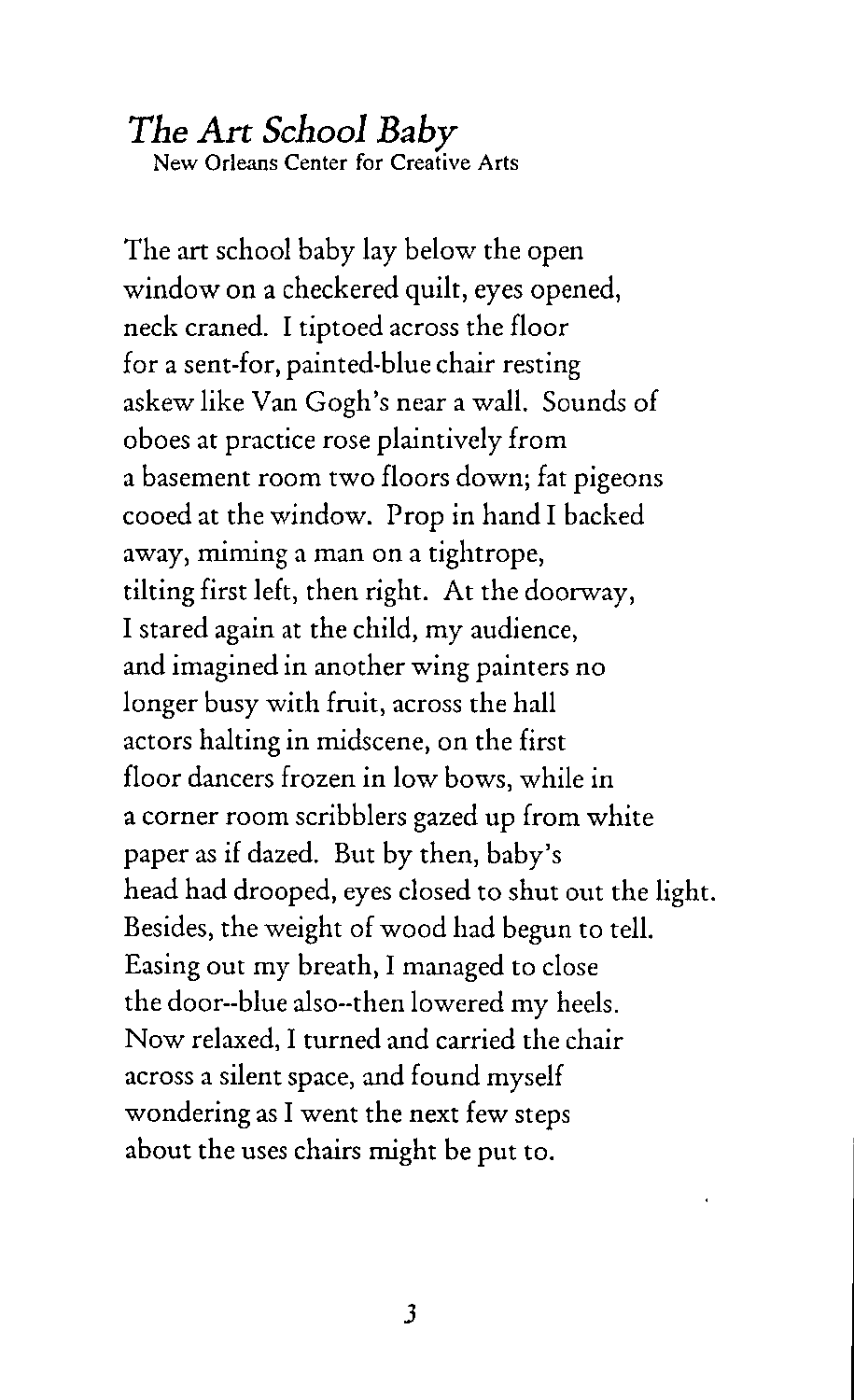#### *The* **Art** *School Baby* **New Orleans Center for Creative Arts**

The art school baby lay below the open window on a checkered quilt, eyes opened, neck craned. I tiptoed across the floor for a sent-for, painted-blue chair resting askew like Van Gogh's near a wall. Sounds of oboes at practice rose plaintively from a basement room two floors down; fat pigeons cooed at the window. Prop in hand I backed away, miming a man on a tightrope, tilting first left, then right. At the doorway, I stared again at the child, my audience, and imagined in another wing painters no longer busy with fruit, across the hall actors halting in midscene, on the first floor dancers frozen in low bows, while in a corner room scribblers gazed up from white paper as if dazed. But by then, baby's head had drooped, eyes closed to shut out the light. Besides, the weight of wood had begun to tell. Easing out my breath, I managed to close the door--blue also--then lowered my heels. Now relaxed, I turned and carried the chair across a silent space, and found myself wondering as I went the next few steps about the uses chairs might be put to.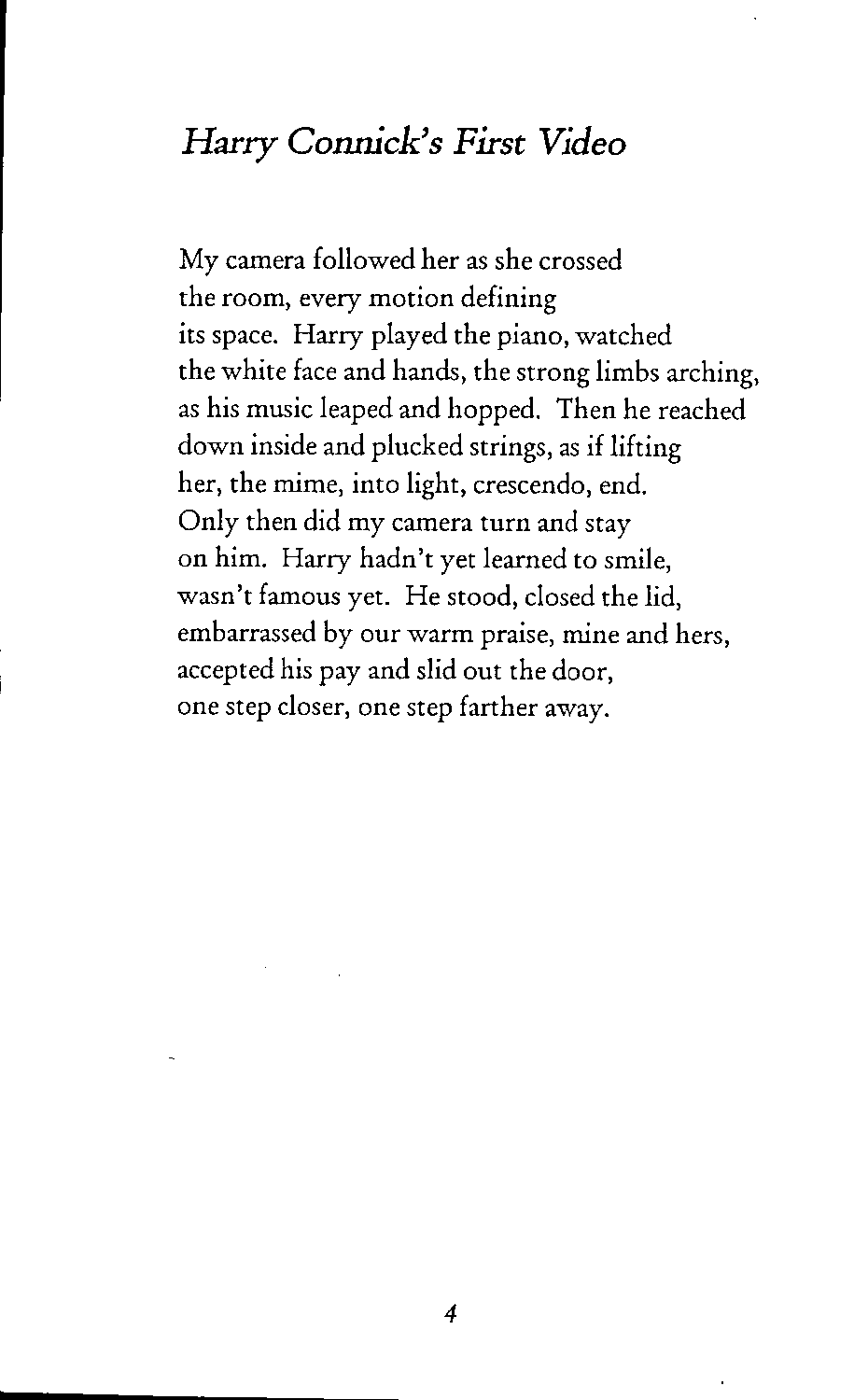#### *Harry* **Connick's** *First Video*

My camera followed her as she crossed the room, every motion defining its space. Harry played the piano, watched the white face and hands, the strong limbs arching, as his music leaped and hopped. Then he reached down inside and plucked strings, as if lifting her, the mime, into light, crescendo, end. Only then did my camera turn and stay on him. Harry hadn't yet learned to smile, wasn't famous yet. He stood, closed the lid, embarrassed by our warm praise, mine and hers, accepted his pay and slid out the door, one step closer, one step farther away.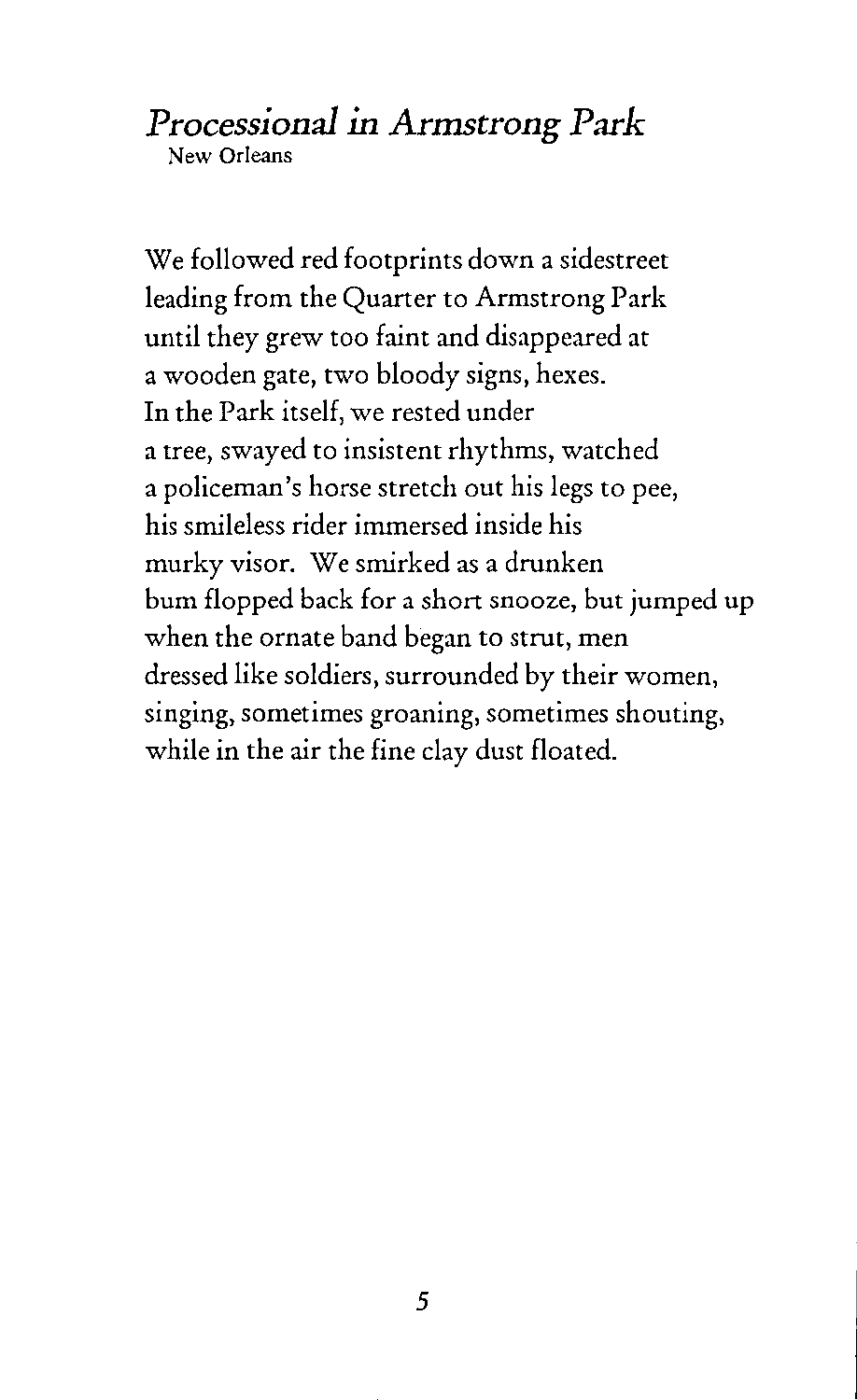#### *Processional in Armstrong Park* **New Orleans**

We followed red footprints down a sidestreet leading from the Quarter to Armstrong Park until they grew too faint and disappeared at a wooden gate, two bloody signs, hexes. In the Park itself, we rested under a tree, swayed to insistent rhythms, watched a policeman's horse stretch out his legs to pee, his smileless rider immersed inside his murky visor. We smirked as a drunken bum flopped back for a short snooze, but jumped up when the ornate band began to strut, men dressed like soldiers, surrounded by their women, **singing) sometimes groaning, sometimes shouting,** while in the air the fine clay dust floated.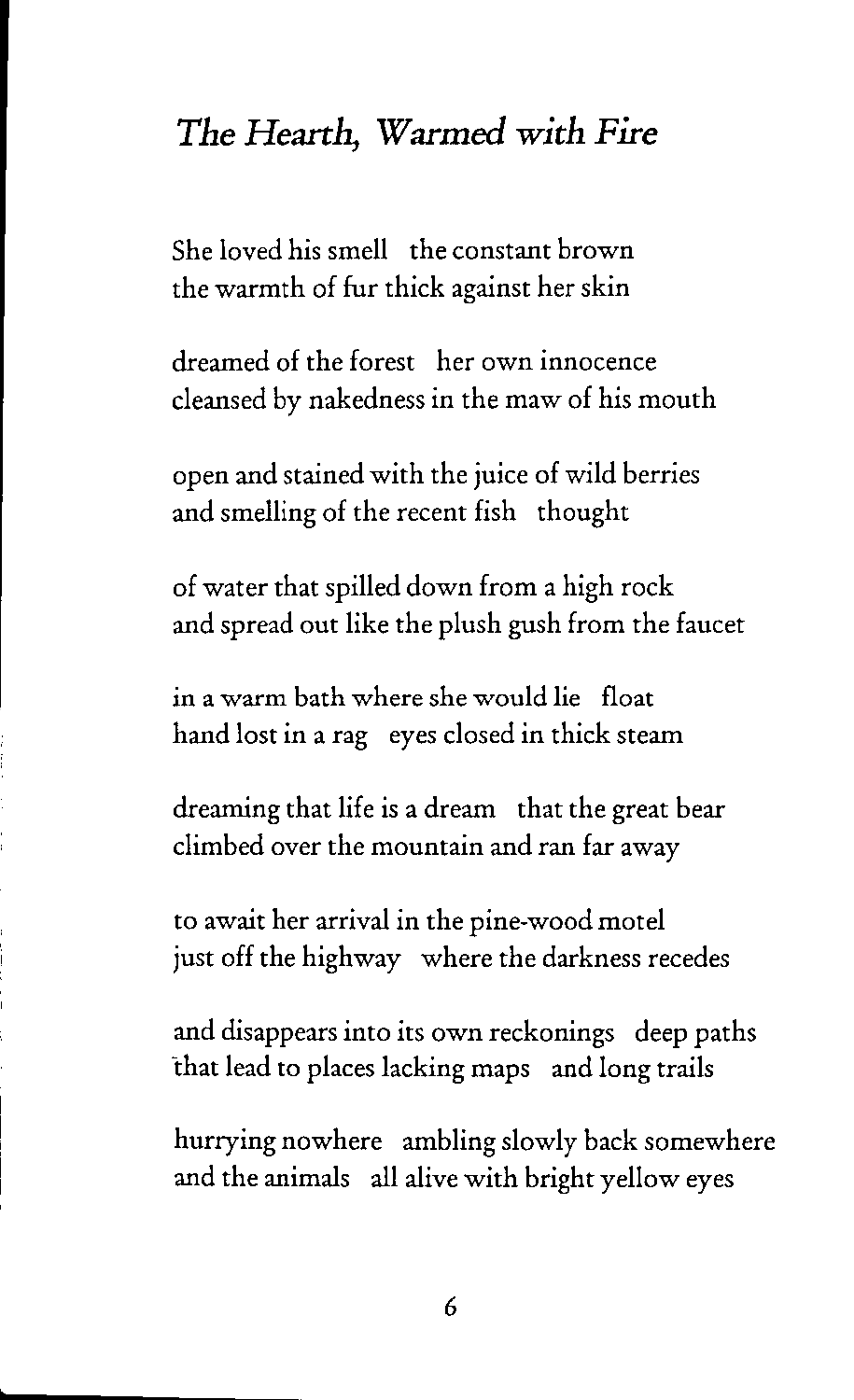#### *The* **Hearth,** *Warmed with Fire*

She loved his smell the constant brown the warmth of fur thick against her skin

dreamed of the forest her own innocence cleansed by nakedness in the maw of his mouth

open and stained with the juice of wild berries and smelling of the recent fish thought

of water that spilled down from a high rock and spread out like the plush gush from the faucet

in a warm bath where she would lie float hand lost in a rag eyes closed in thick steam

dreaming that life is a dream that the great bear climbed over the mountain and ran far away

to await her arrival in the pine-wood motel just off the highway where the darkness recedes

and disappears into its own reckonings deep paths that lead to places lacking maps and long trails

hurrying nowhere ambling slowly back somewhere and the animals all alive with bright yellow eyes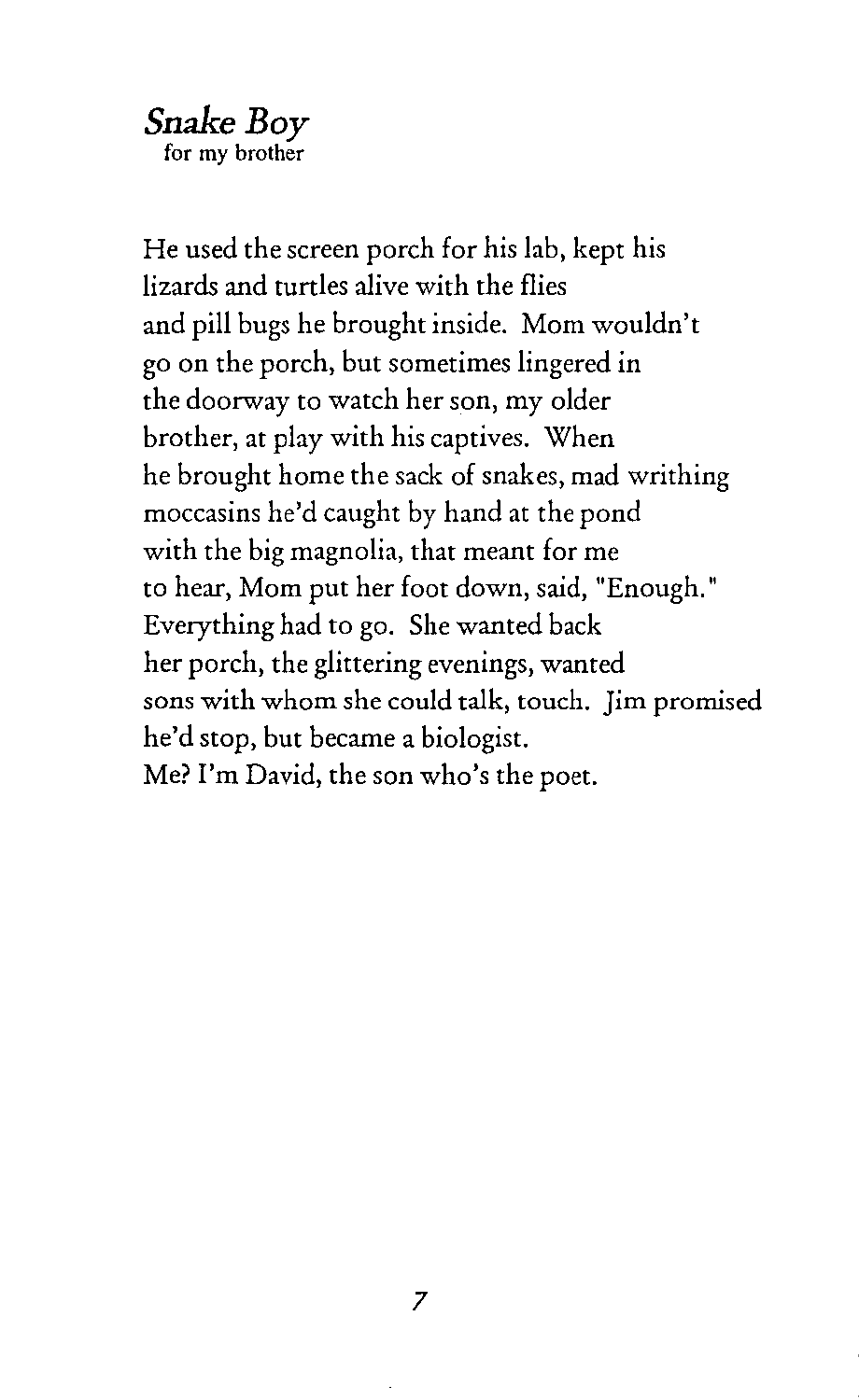# *Snake Boy*

**for my brother**

He used the screen porch for his lab, kept his lizards and turtles alive with the flies and pill bugs he brought inside. Mom wouldn't go on the porch, but sometimes lingered in the doorway to watch her son, my older brother, at play with his captives. When he brought home the sack of snakes, mad writhing moccasins he'd caught by hand at the pond with the big magnolia, that meant for me to hear, Mom put her foot down, said, "Enough." Everything had to go. She wanted back her porch, the glittering evenings, wanted sons with whom she could talk, touch. Jim promised he'd stop, but became a biologist. Me? I'm David, the son who's the poet.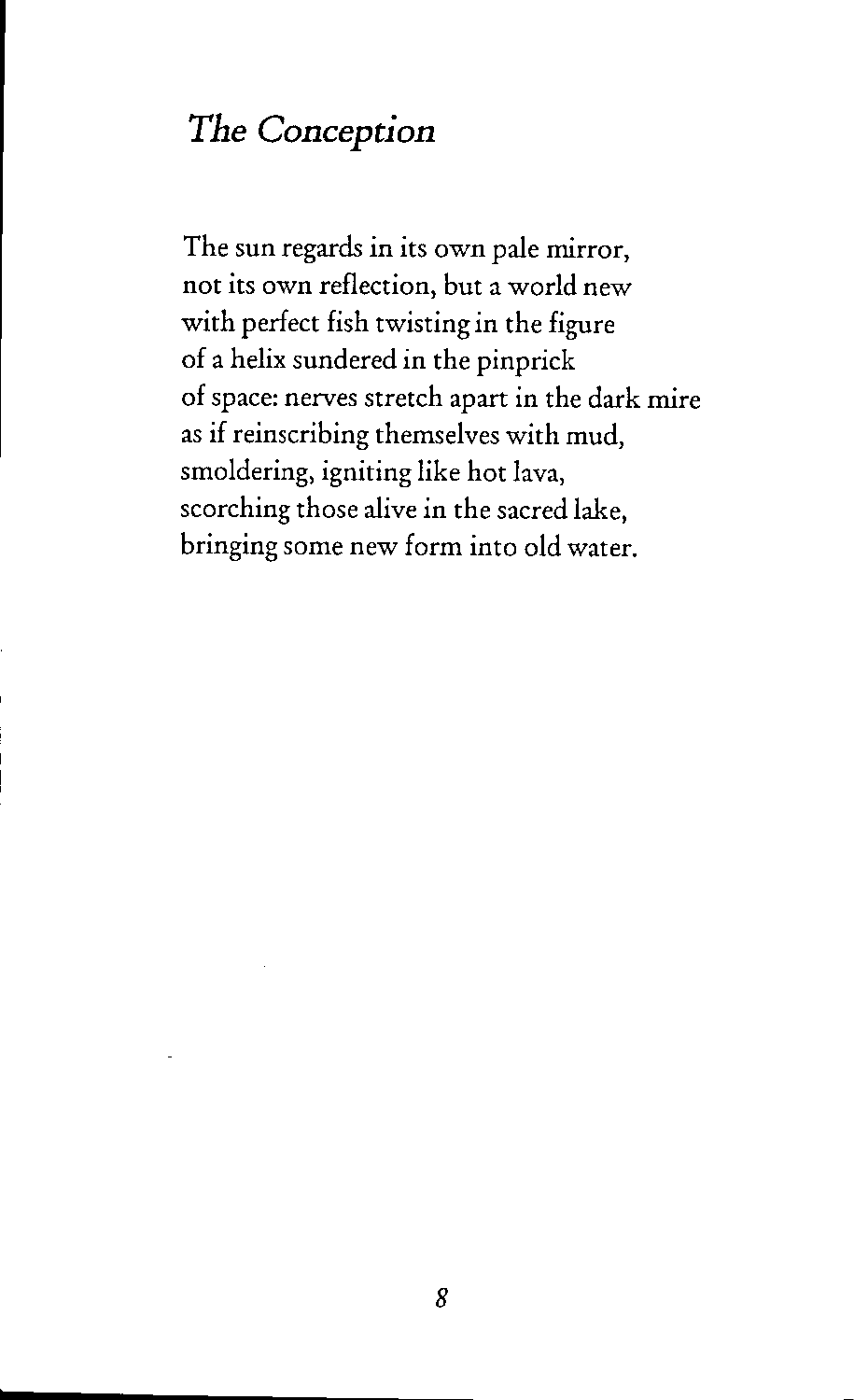## *The Conception*

The sun regards in its own pale mirror, not its own reflection, but a world new with perfect fish twisting in the figure of a helix sundered in the pinprick of space: nerves stretch apart in the dark mire as if reinscribing themselves with mud, smoldering, igniting like hot lava, scorching those alive in the sacred lake, bringing some new form into old water.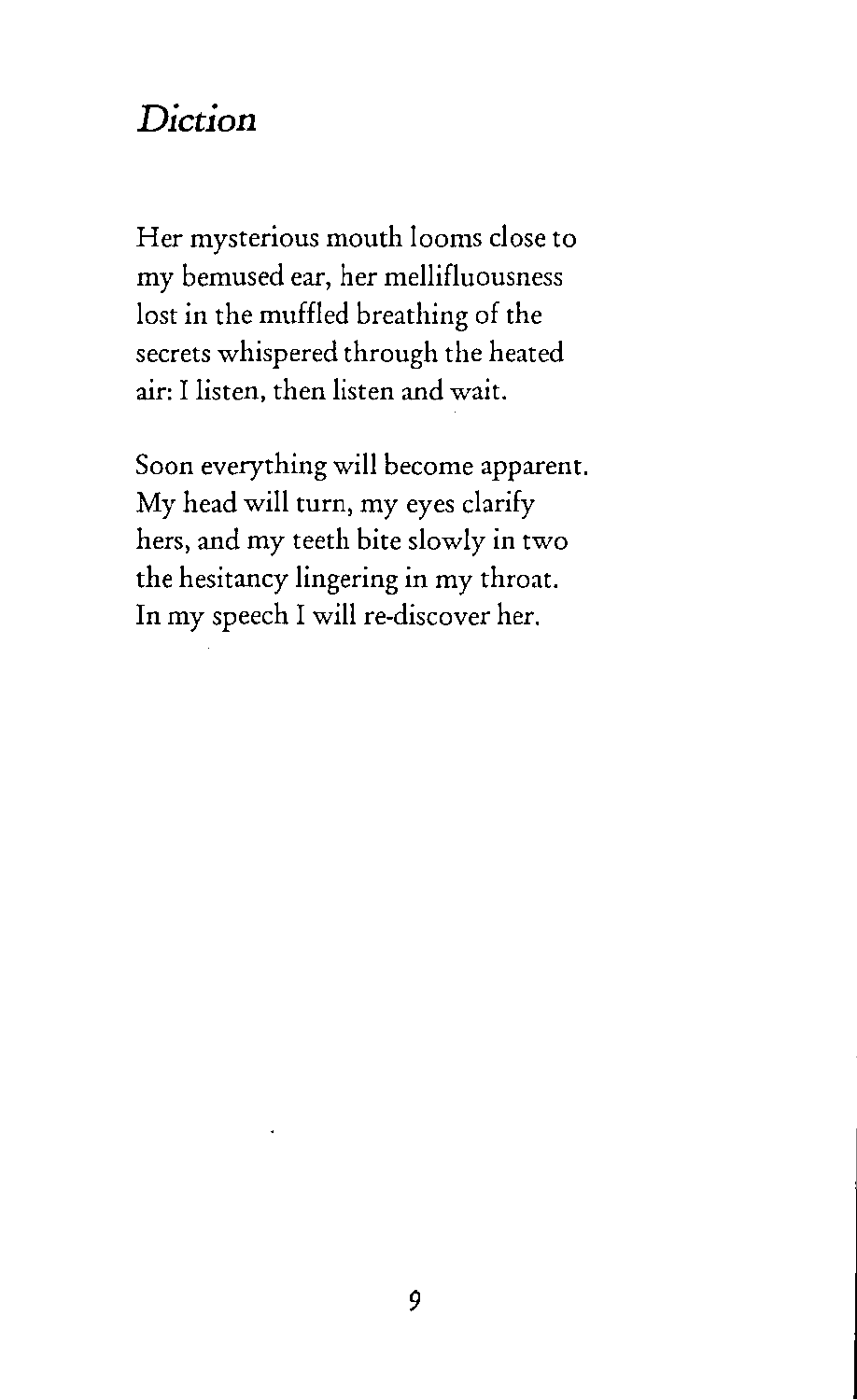## *Diction*

Her mysterious mouth looms close to my bemused ear, her mellifluousness lost in the muffled breathing of the secrets whispered through the heated air: I listen, then listen and wait.

Soon everything will become apparent. My head will turn, my eyes clarify hers, and my teeth bite slowly in two the hesitancy lingering in my throat. In my speech I will re-discover her.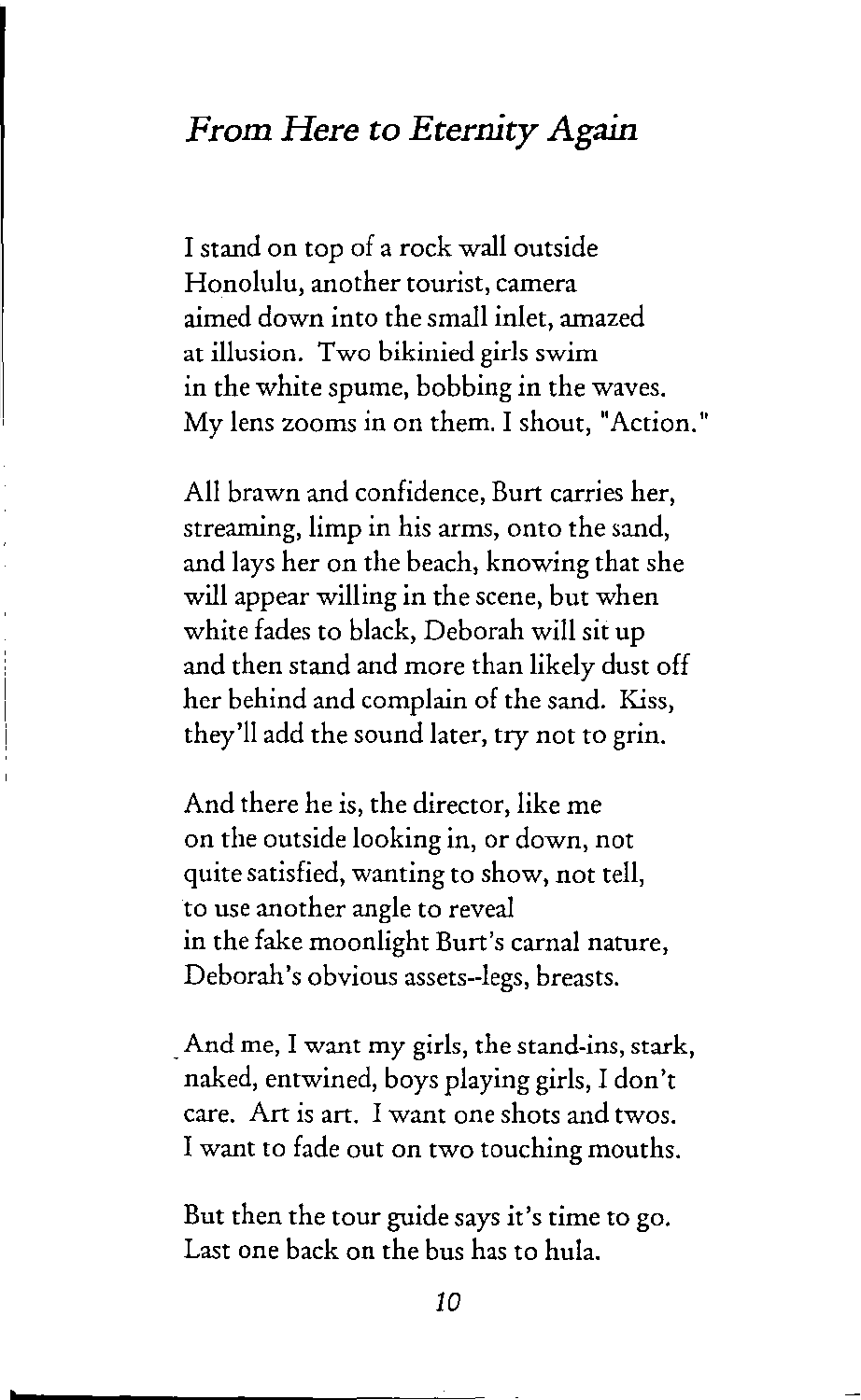#### *From Here to Eternity Again*

I stand on top of a rock wall outside **Honolulu, another** *tourist,* **camera** aimed down into the small inlet, amazed at illusion. Two bikinied girls swim in the white spume, bobbing in the waves. **My lens zooms in on them. Ishout, "Action. <sup>n</sup>**

All brawn and confidence, Burt carries her, streaming, limp in his arms, onto the sand, and lays her on the beach, knowing that she will appear willing in the scene, but when white fades to black, Deborah will sit up and then stand and more than likely dust off her behind and complain of the sand. Kiss, they'll add the sound later, try not to grin.

And there he is, the director, like me on the outside looking in, or down, not quite satisfied, wanting to show, not tell, to use another angle to reveal in the fake moonlight Burt's carnal nature, Deborah's obvious assets--Iegs, breasts.

.And me, I want my girls, the stand-ins, stark, naked, entwined, boys playing girls, I don't care. Art is art. I want one shots and twos. I want to fade out on two touching mouths.

But then the tour guide says it's time to go. Last one back on the bus has to hula.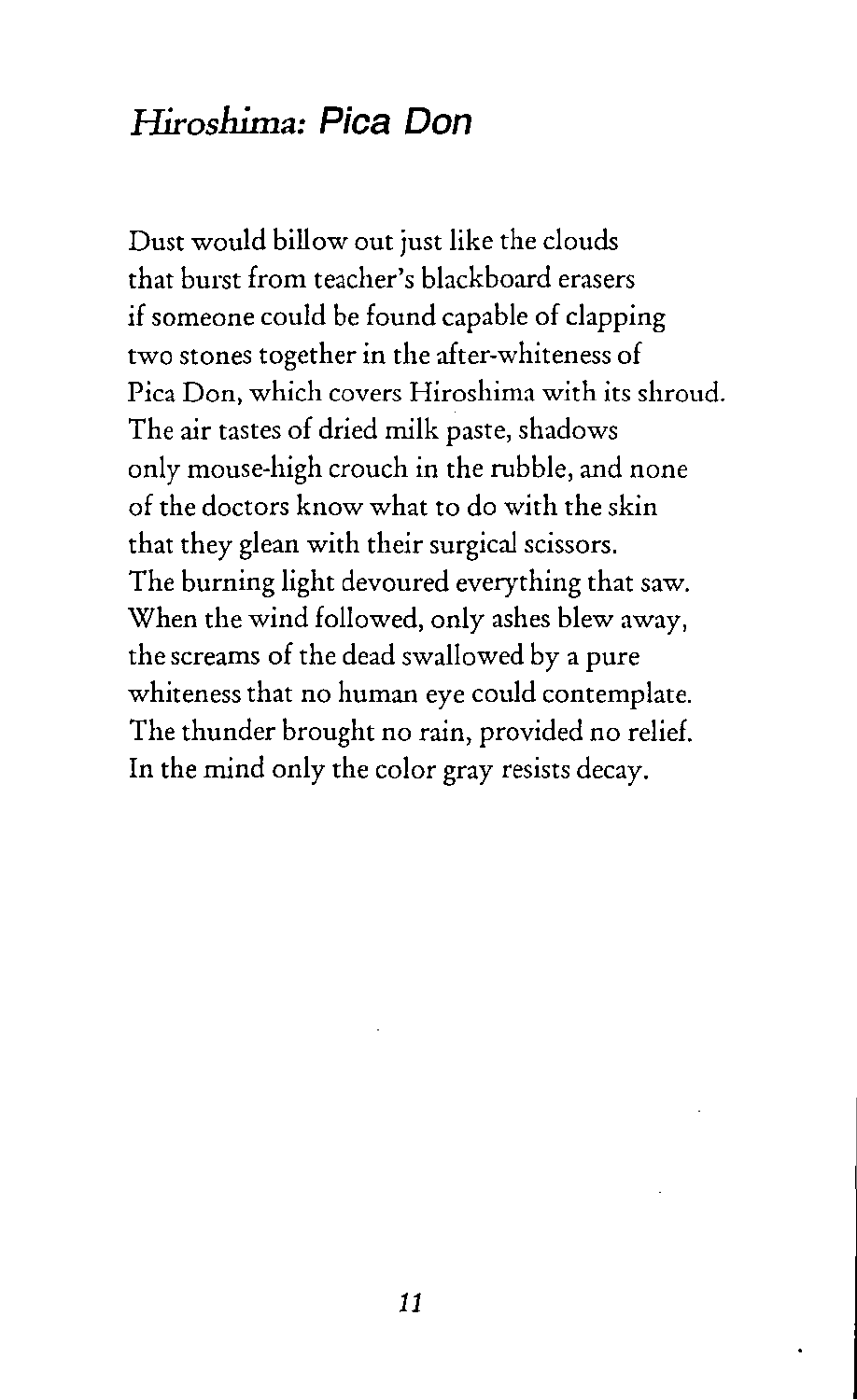## *Hiroshima:* **Pica Don**

Dust would billow out just like the clouds that burst from teacher's blackboard erasers if someone could be found capable of clapping two stones together in the after-whiteness of Pica Don, which covers Hiroshima with its shroud. The air tastes of dried milk paste, shadows only mouse-high crouch in the rubble, and none of the doctors know what to do with the skin that they glean with their surgical scissors. The burning light devoured everything that saw. When the wind followed, only ashes blew away, the screams of the dead swallowed by a pure whiteness that no human eye could contemplate. The thunder brought no rain, provided no relief. In the mind only the color gray resists decay.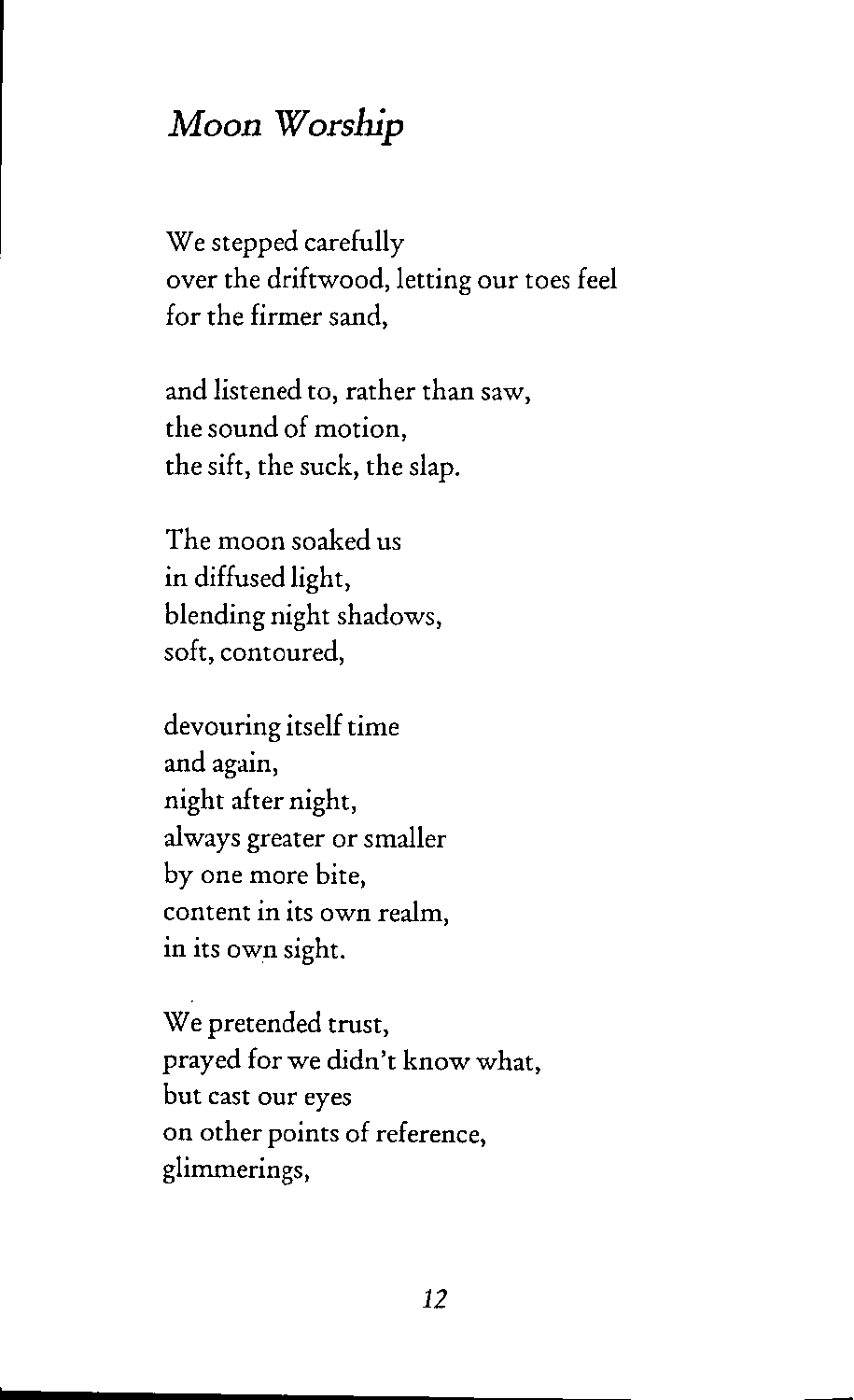## *Moon Worship*

We stepped carefully over the driftwood, letting our toes feel for the firmer sand,

and listened to, rather than saw, the sound of motion, the sift, the suck, the slap.

The moon soaked us in diffused light, blending night shadows, **soft, contoured,**

devouring itself time and again, night after night, always greater or smaller by one more bite, **content in its own realm,** in its own sight.

We pretended trust, prayed for we didn't know what, but cast our eyes **on other points of reference,** glimmerings,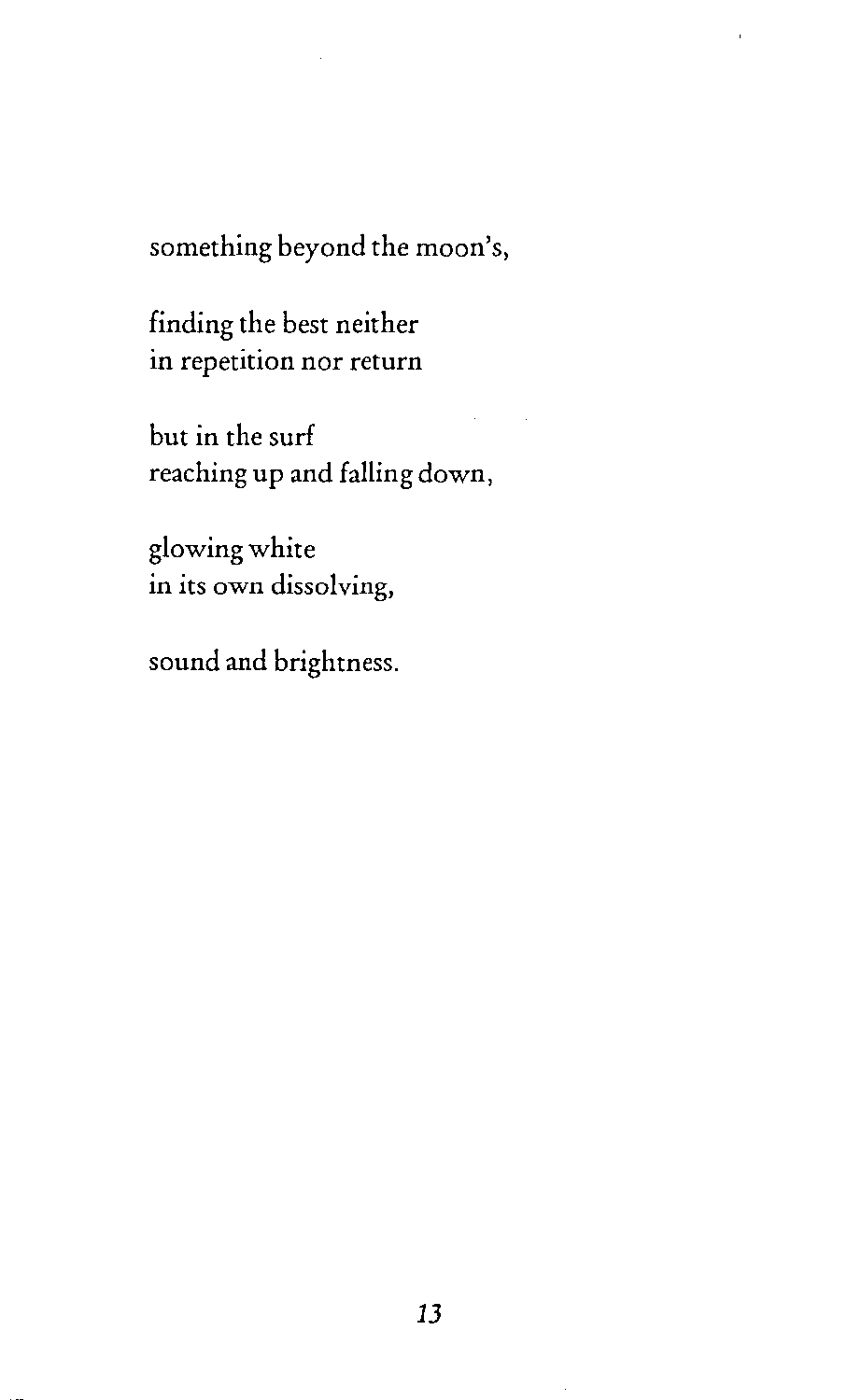something beyond the moon's,

finding the best neither **in repetition nor return**

but in the surf reaching up and falling down,

glowing white in its own dissolving,

sound and brightness.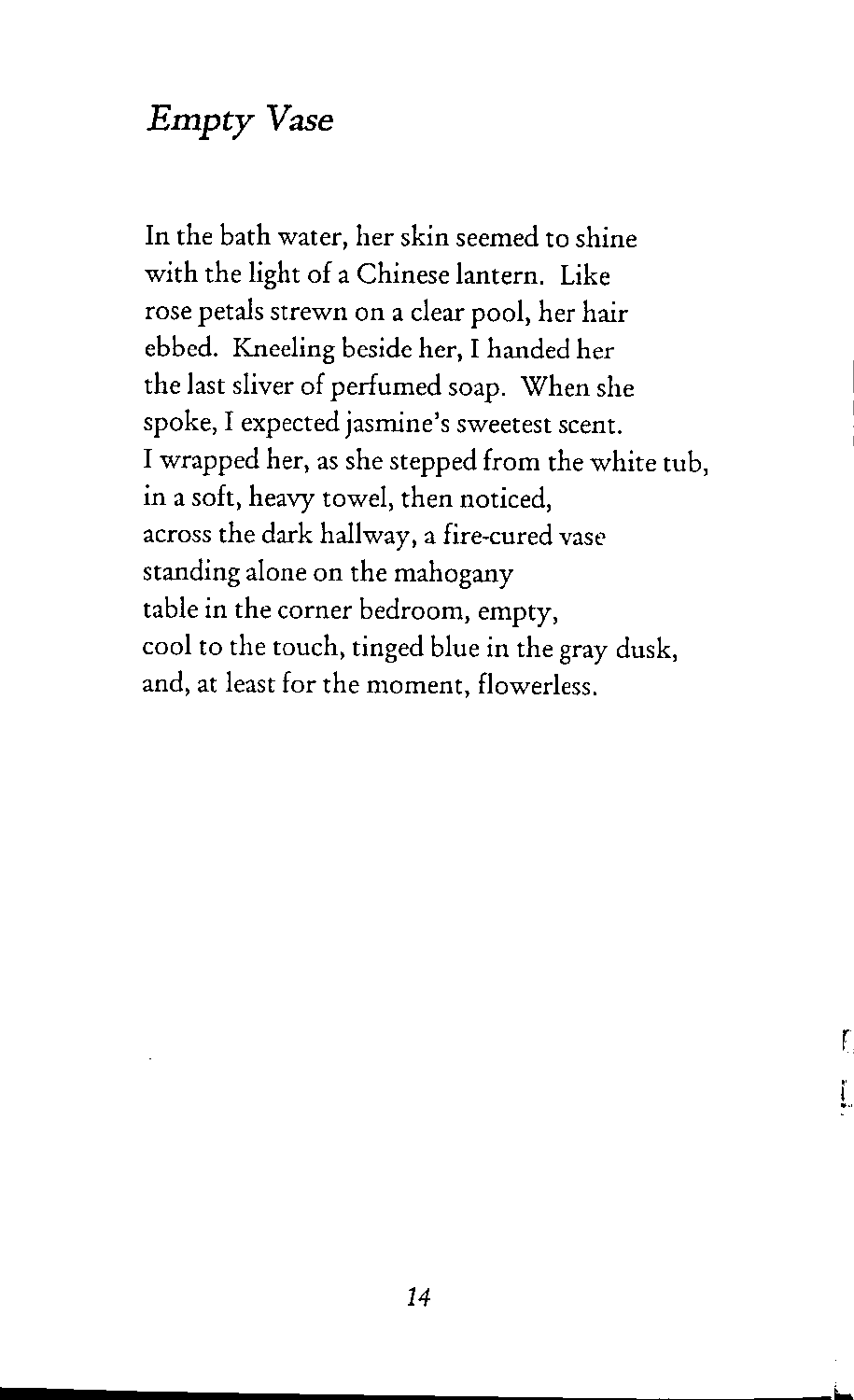## **Empty** *Vase*

In the bath water, her skin seemed to shine with the light of a Chinese lantern. Like rose petals strewn on a clear pool, her hair ebbed. Kneeling beside her, I handed her the last sliver of perfumed soap. When she spoke, I expected jasmine's sweetest scent. I wrapped her, as she stepped from the white tub, in a soft, heavy towel, then noticed, across the dark hallway, a fire-cured vase standing alone on the mahogany table in the corner bedroom, empty, cool to the touch, tinged blue in the gray dusk, and, at least for the moment, flowerless.

Ţ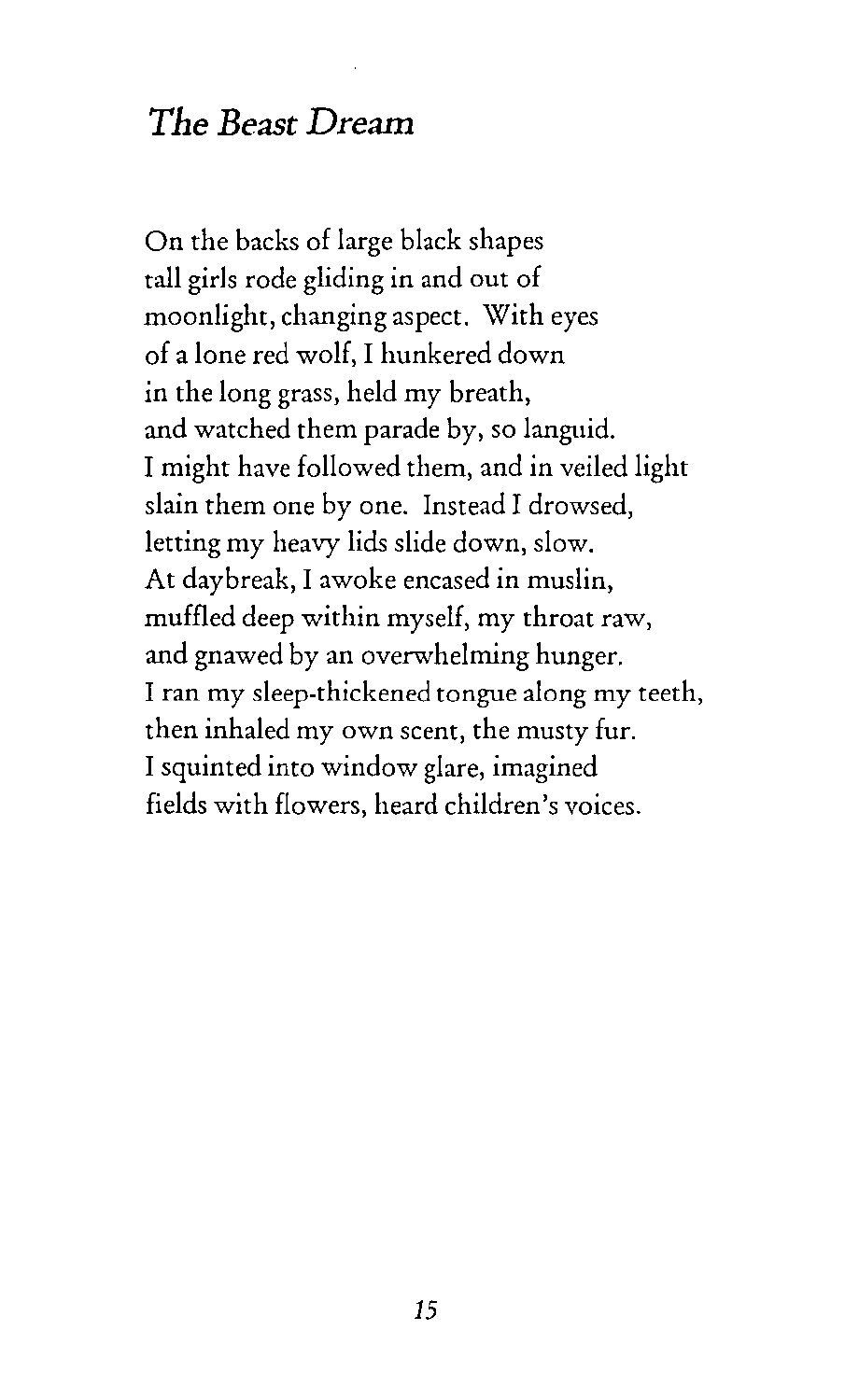#### *The Beast Dream*

On the backs of large black shapes tall girls rode gliding in and out of moonlight, changing aspect. With eyes of a lone red wolf, I hunkered down in the long grass, held my breath, and watched them parade by, so languid. I might have followed them, and in veiled light slain them one by one. Instead I drowsed, letting my heavy lids slide down, slow. At daybreak, I awoke encased in muslin, muffled deep within myself, my throat raw, and gnawed by an overwhelming hunger. I ran my sleep-thickened tongue along my teeth, then inhaled my own scent, the musty fur. I squinted into window glare, imagined fields with flowers, heard children's voices.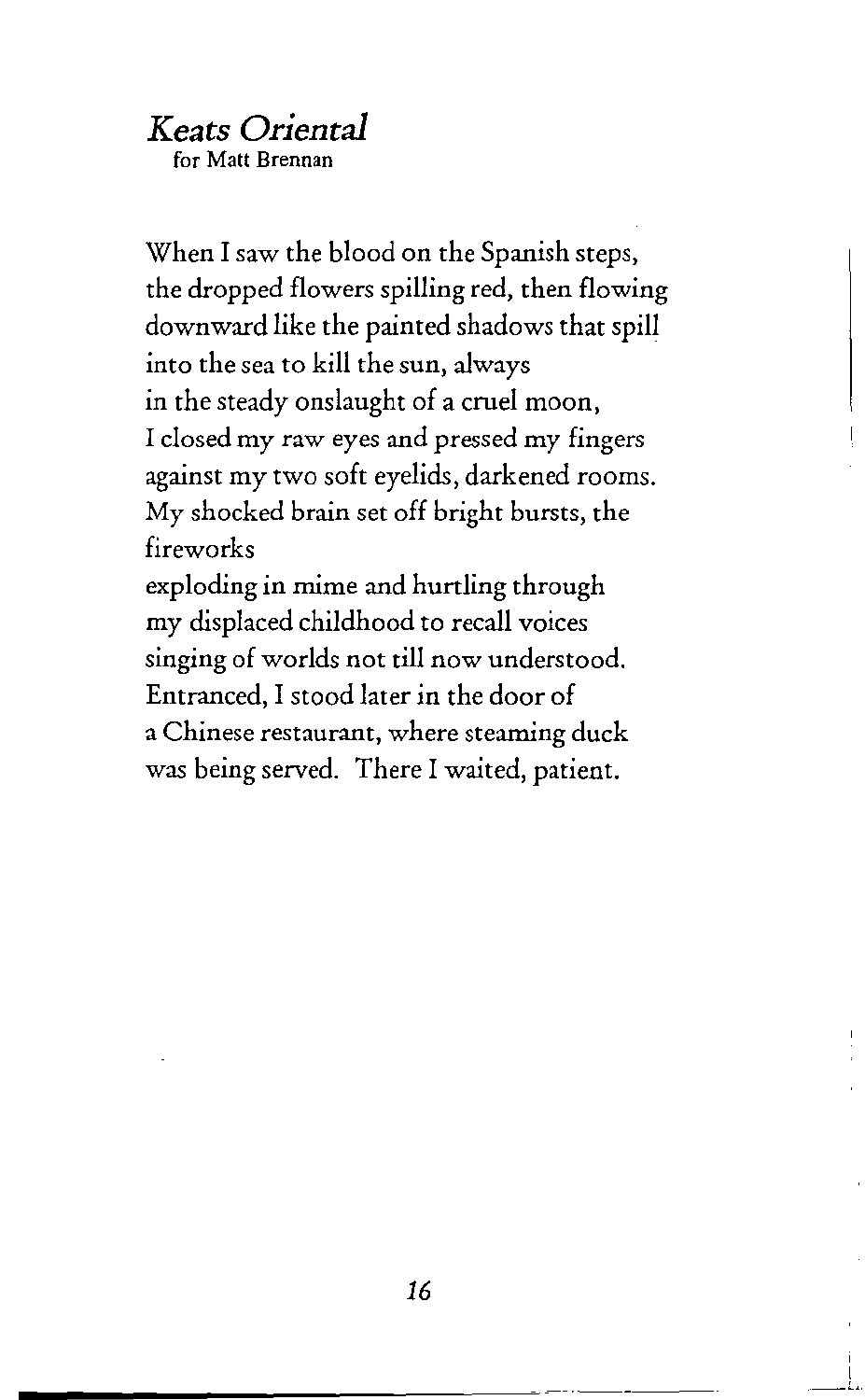#### *Keats Oriental*

**for Matt Brennan**

When I saw the blood on the Spanish steps, the dropped flowers spilling red, then flowing downward like the painted shadows that spill into the sea to kill the sun, always in the steady onslaught of a cruel moon, I closed my raw eyes and pressed my fingers against my two soft eyelids, darkened rooms. My shocked brain set off bright bursts, the fireworks

exploding in mime and hurtling through my displaced childhood to recall voices singing of worlds not till now understood. Entranced, I stood later in the door of a Chinese restaurant, where steaming duck was being served. There I waited, patient.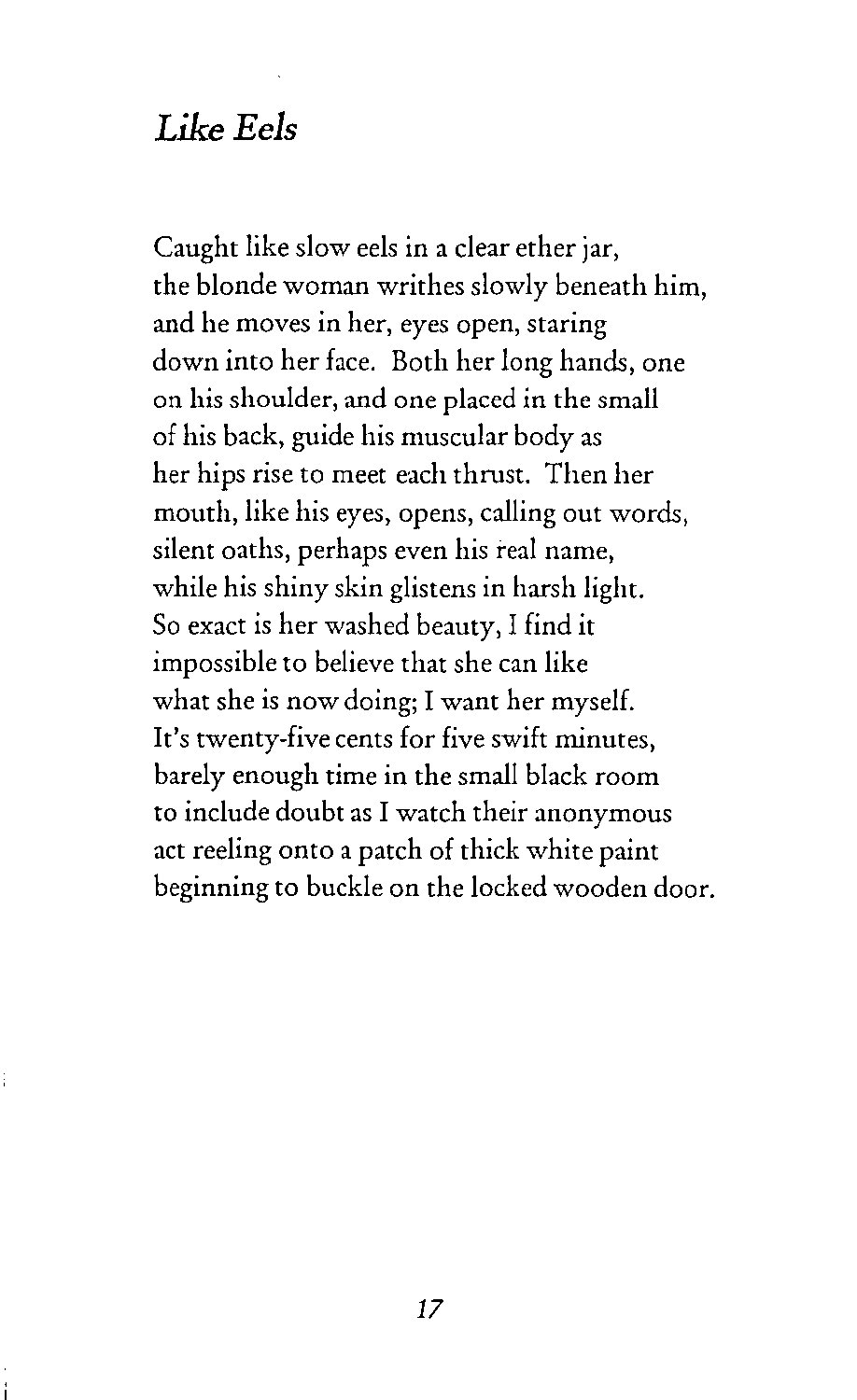## *Like Eels*

Caught like slow eels in a clear ether jar, the blonde woman writhes slowly beneath him, and he moves in her, eyes open, staring down into her face. Both her long hands, one on his shoulder, and one placed in the small of his back, guide his muscular body as her hips rise to meet each thrust. Then her mouth, like his eyes, opens, calling out words, silent oaths, perhaps even his real name, while his shiny skin glistens in harsh light. So exact is her washed beauty, I find it impossible to believe that she can like what she is now doing; I want her myself. It's twenty-five cents for five swift minutes, barely enough time in the small black room to include doubt as I watch their anonymous act reeling onto a patch of thick white paint beginning to buckle on the locked wooden door.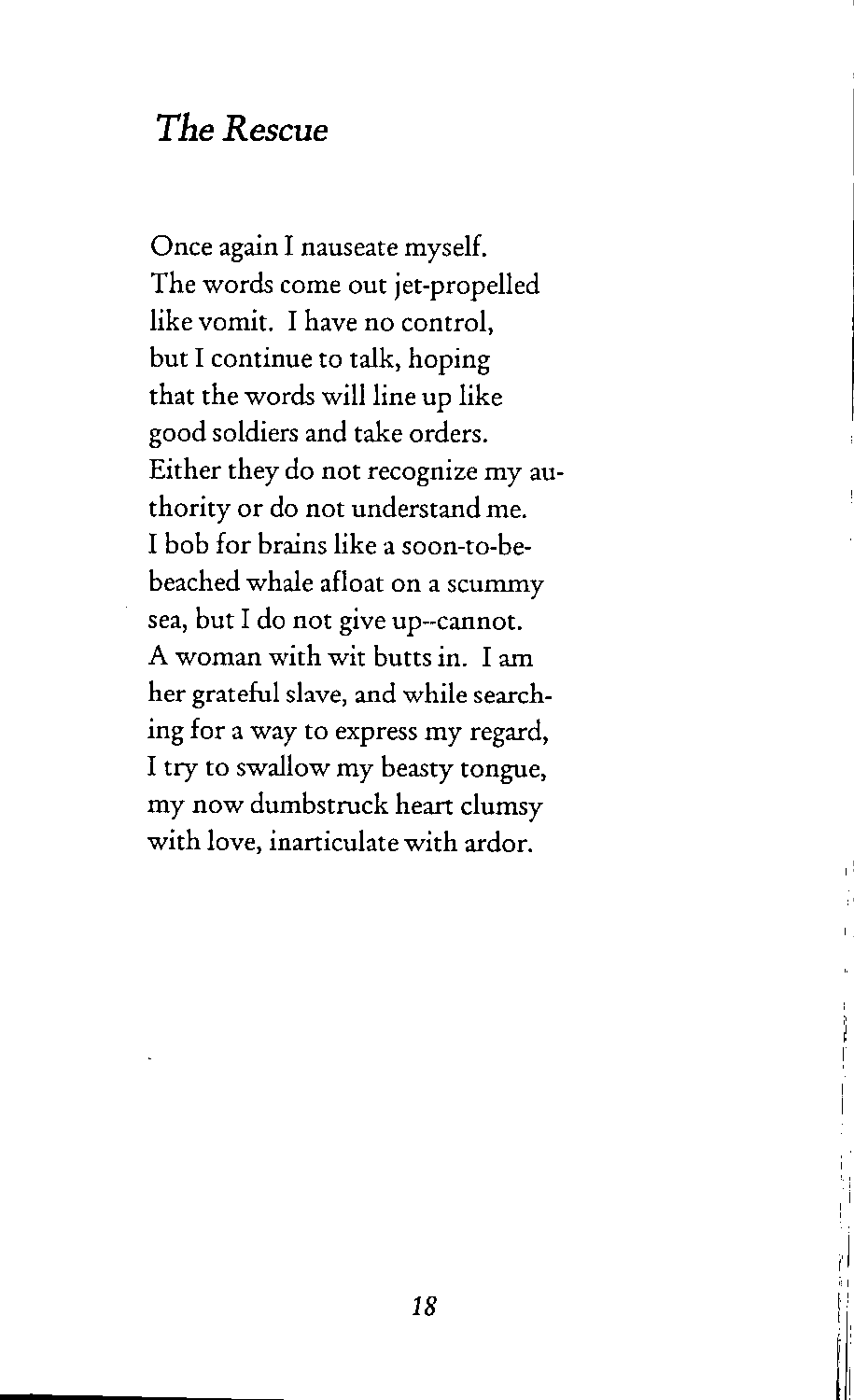#### *The Rescue*

Once again I nauseate myself. The words come out jet-propelled like vomit. I have no control, but I continue to talk, hoping that the words will line up like good soldiers and take orders. Either they do not recognize my authority or do not understand me. I bob for brains like a soon-to-bebeached whale afloat on a scummy sea, but I do not give up--cannot. A woman with wit butts in. I am her grateful slave, and while searching for a way to express my regard, I try to swallow my beasty tongue, my now dumbstruck heart clumsy with love, inarticulate with ardor.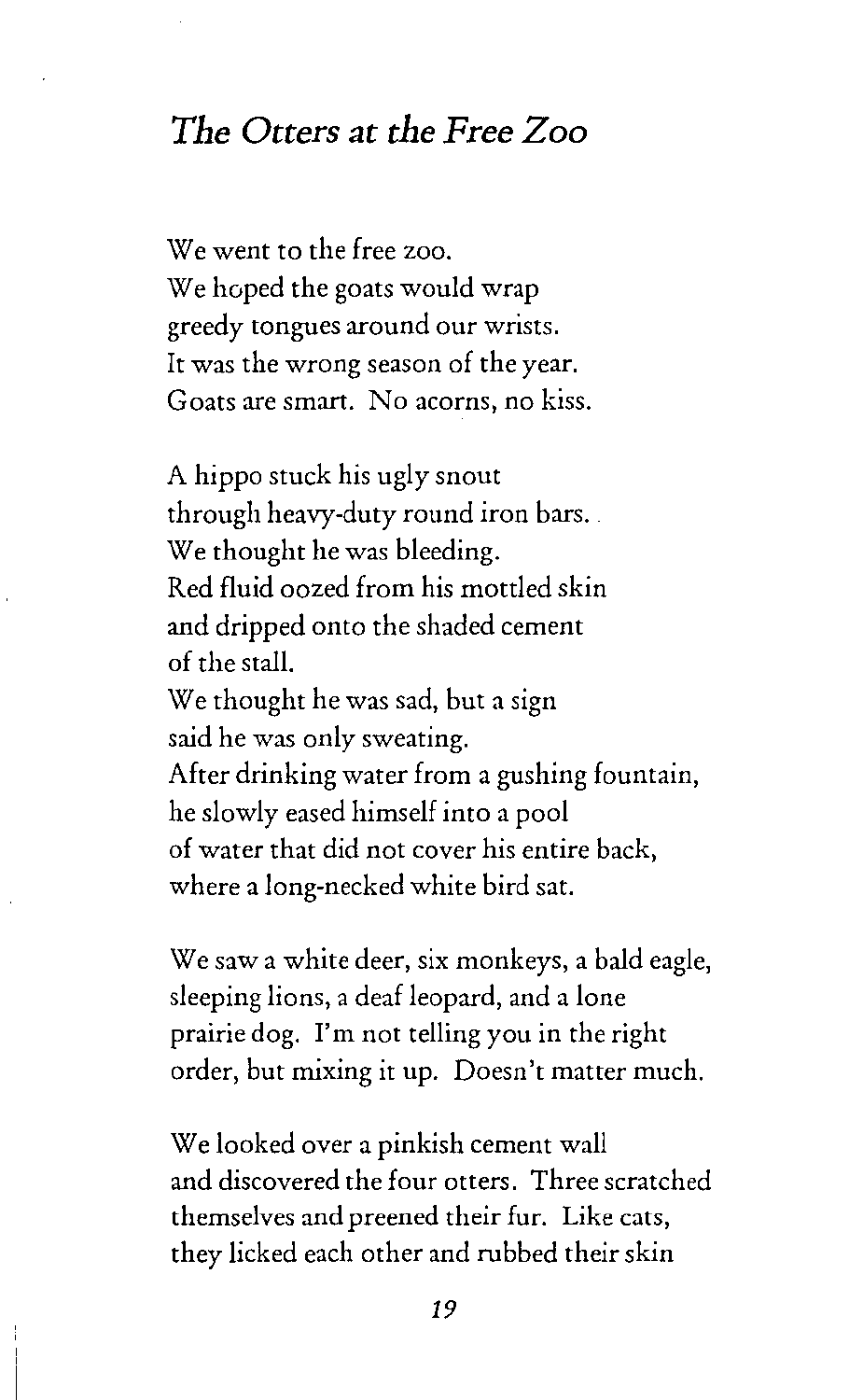#### *The Otters at the Free Zoo*

We went to the free zoo. We hoped the goats would wrap greedy tongues around our wrists. It was the wrong season of the year. **Goats are smart. No acorns, no kiss.**

A hippo stuck his ugly snout through heavy-duty round iron bars. We thought he was bleeding. Red fluid oozed from his mottled skin and dripped onto the shaded cement of the stall. We thought he was sad, but a sign said he was only sweating. After drinking water from a gushing fountain, he slowly eased himself into a pool of water that did not cover his entire back, where a long-necked white bird sat.

We saw a white deer, six monkeys, a bald eagle, sleeping lions, a deaf leopard, and a lone prairie dog. I'm not telling you in the right order, but mixing it up. Doesn't matter much.

We looked over a pinkish cement wall and discovered the four otters. Three scratched themselves and preened their fur. Like cats, they licked each other and rubbed their skin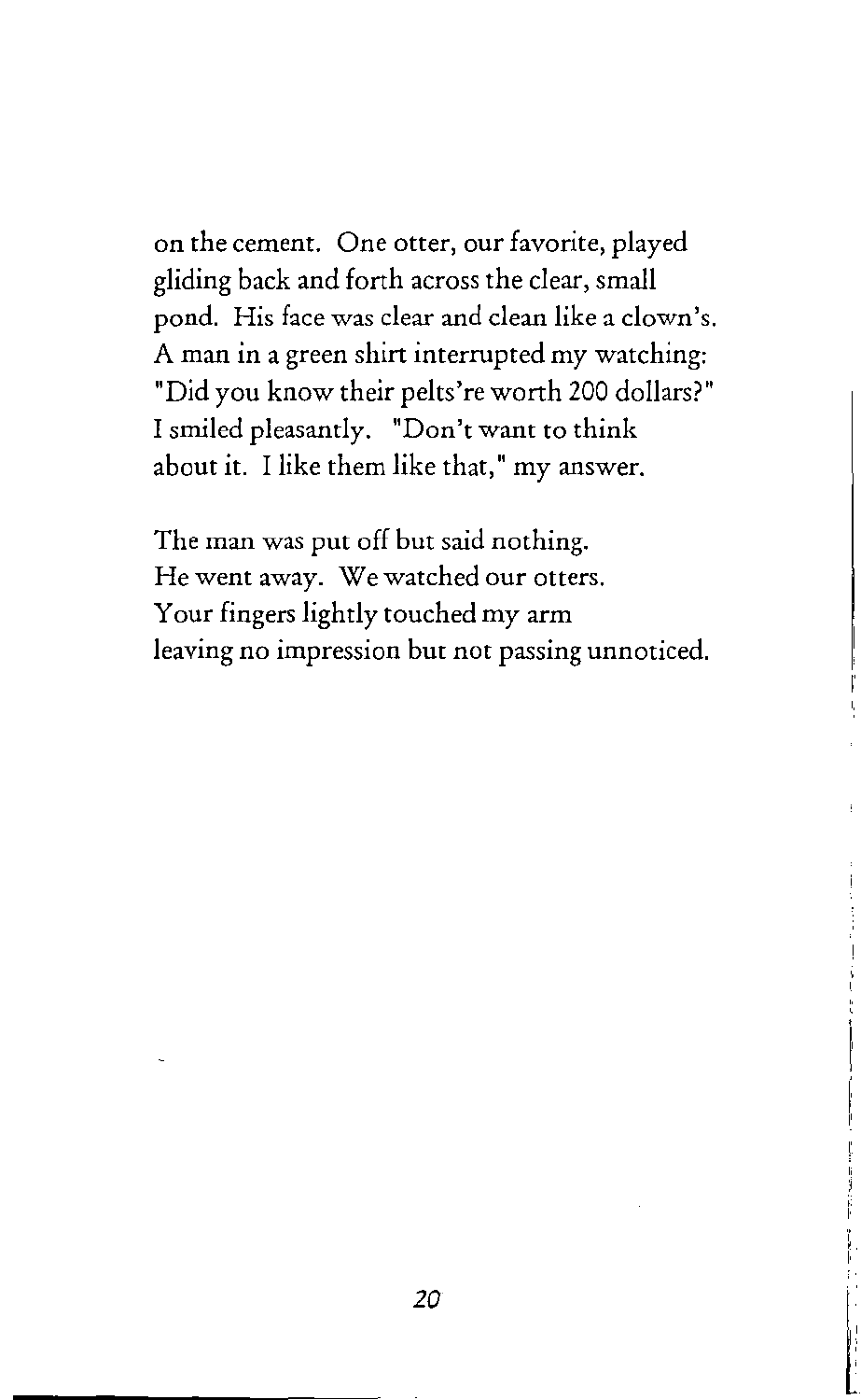on the cement. One otter, our favorite, played gliding back and forth across the clear, small pond. His face was clear and clean like a clown's. A man in a green shirt interrupted my watching: "Did you know their pelts're worth 200 dollars?" I smiled pleasantly. "Don't want to think about it. I like them like that," my answer.

The man was put off but said nothing. He went away. We watched our otters. Your fingers lightly touched my arm leaving no impression but not passing unnoticed.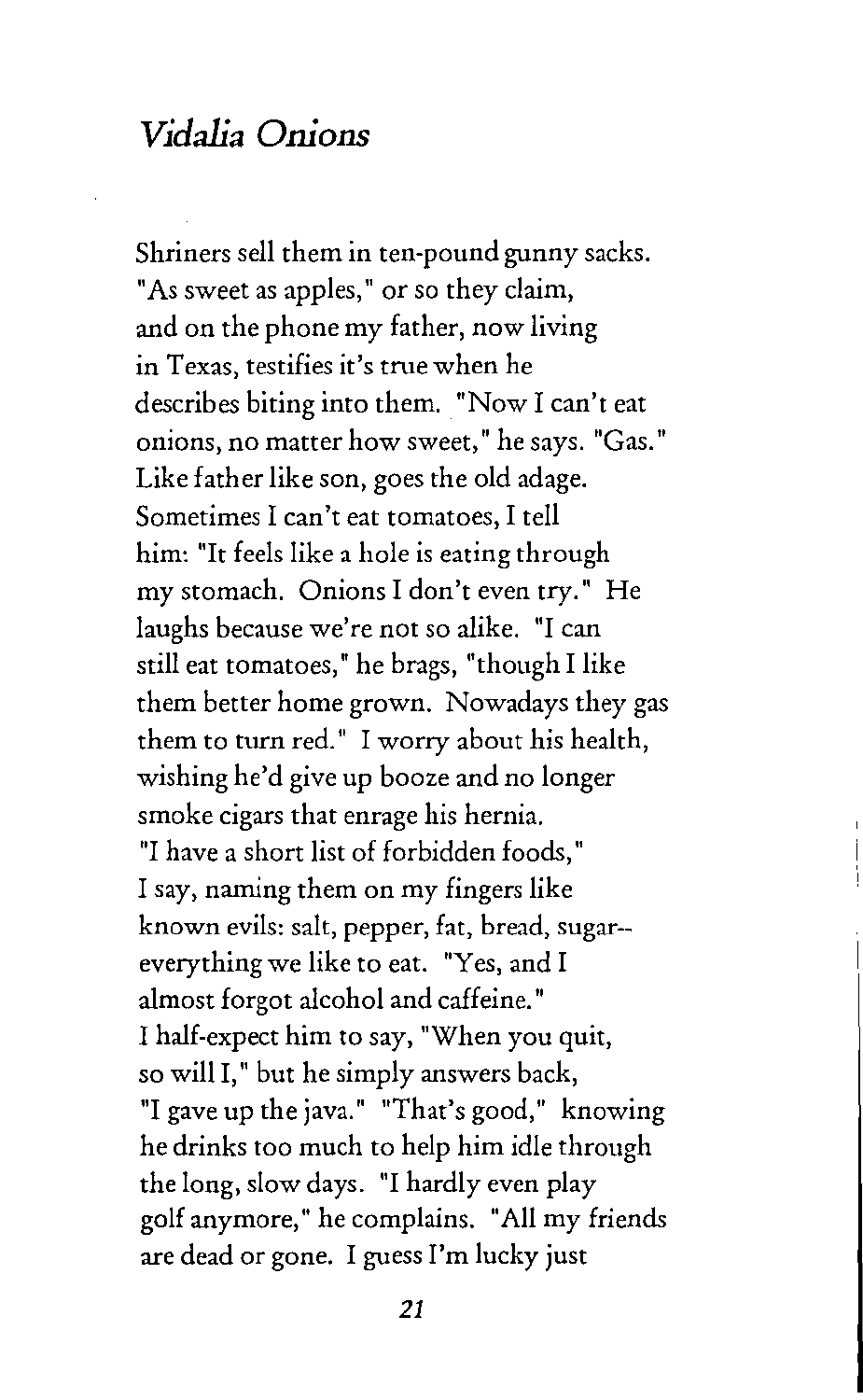#### *Vidalia Onions*

Shriners sell them in ten-pound gunny sacks. "As sweet as apples," or so they claim, and on the phone my father, now living in Texas, testifies it's true when he describes biting into them. "Now I can't eat **onions, no matter how sweet," he says. "Gas."** Like father like son, goes the old adage. Sometimes I can't eat tomatoes, I tell him: "It feels like a hole is eating through my stomach. Onions I don't even try." He laughs because we're not so alike. "I can still eat tomatoes," he brags, "though I like them better home grown. Nowadays they gas them to turn red." I worry about his health, wishing he'd give up booze and no longer smoke cigars that enrage his hernia. "I have a short list of forbidden foods, " I say, naming them on my fingers like known evils: salt, pepper, fat, bread, sugar- everything we like to eat. "Yes, and I almost forgot alcohol and caffeine. " I half-expect him to say, "When you quit, so will I," but he simply answers back, "I gave up the java." "That's good," knowing he drinks too much to help him idle through the long, slow days. "I hardly even play golf anymore," he complains. "All my friends are dead or gone. I guess I'm lucky just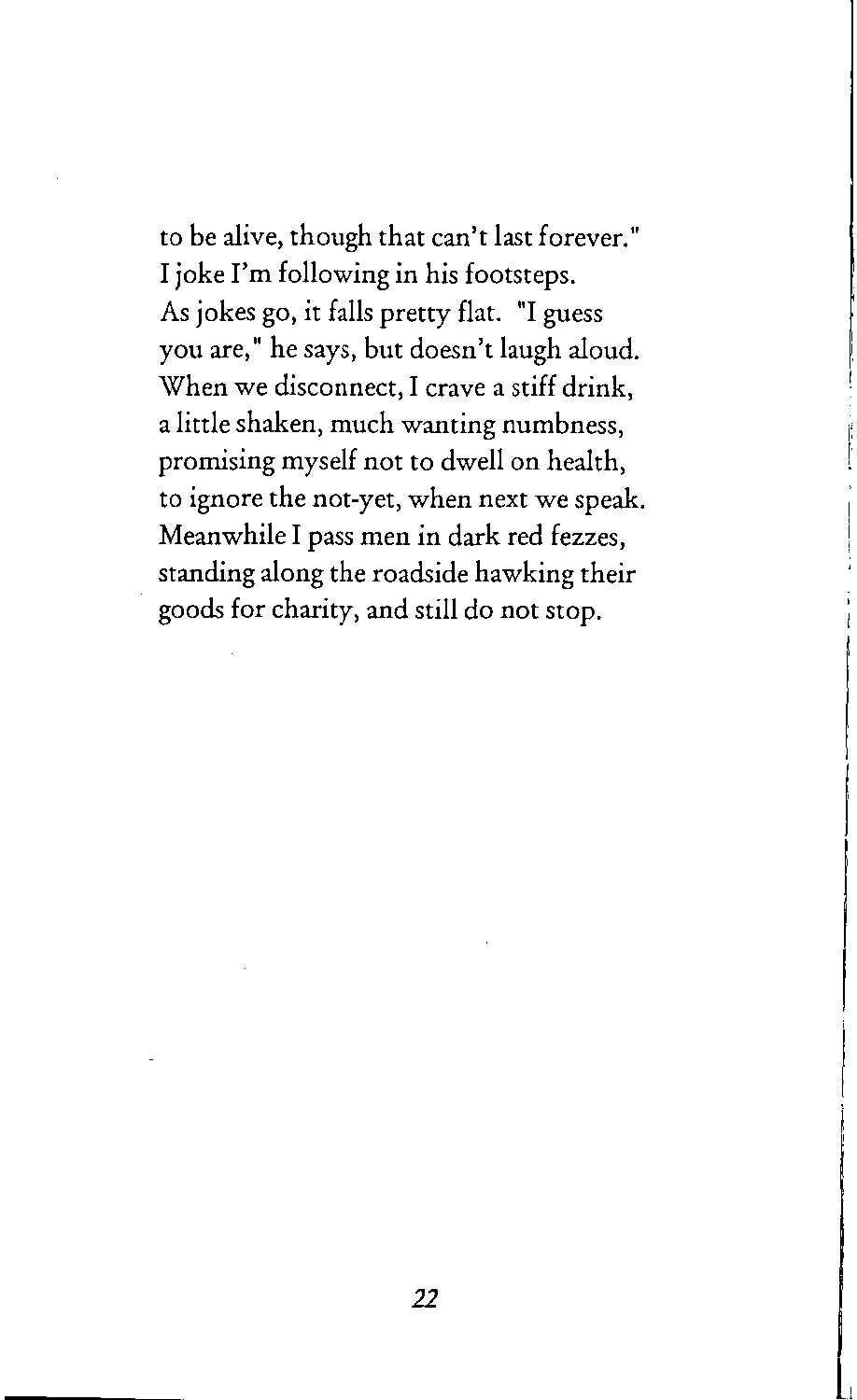to be alive, though that can't last forever." I joke I'm following in his footsteps. As jokes go, it falls pretty flat. "I guess you are," he says, but doesn't laugh aloud. When we disconnect, I crave a stiff drink, a little shaken, much wanting numbness, promising myself not to dwell on health, to ignore the not-yet, when next we speak. Meanwhile I pass men in dark red fezzes, standing along the roadside hawking their goods for charity, and still do not stop.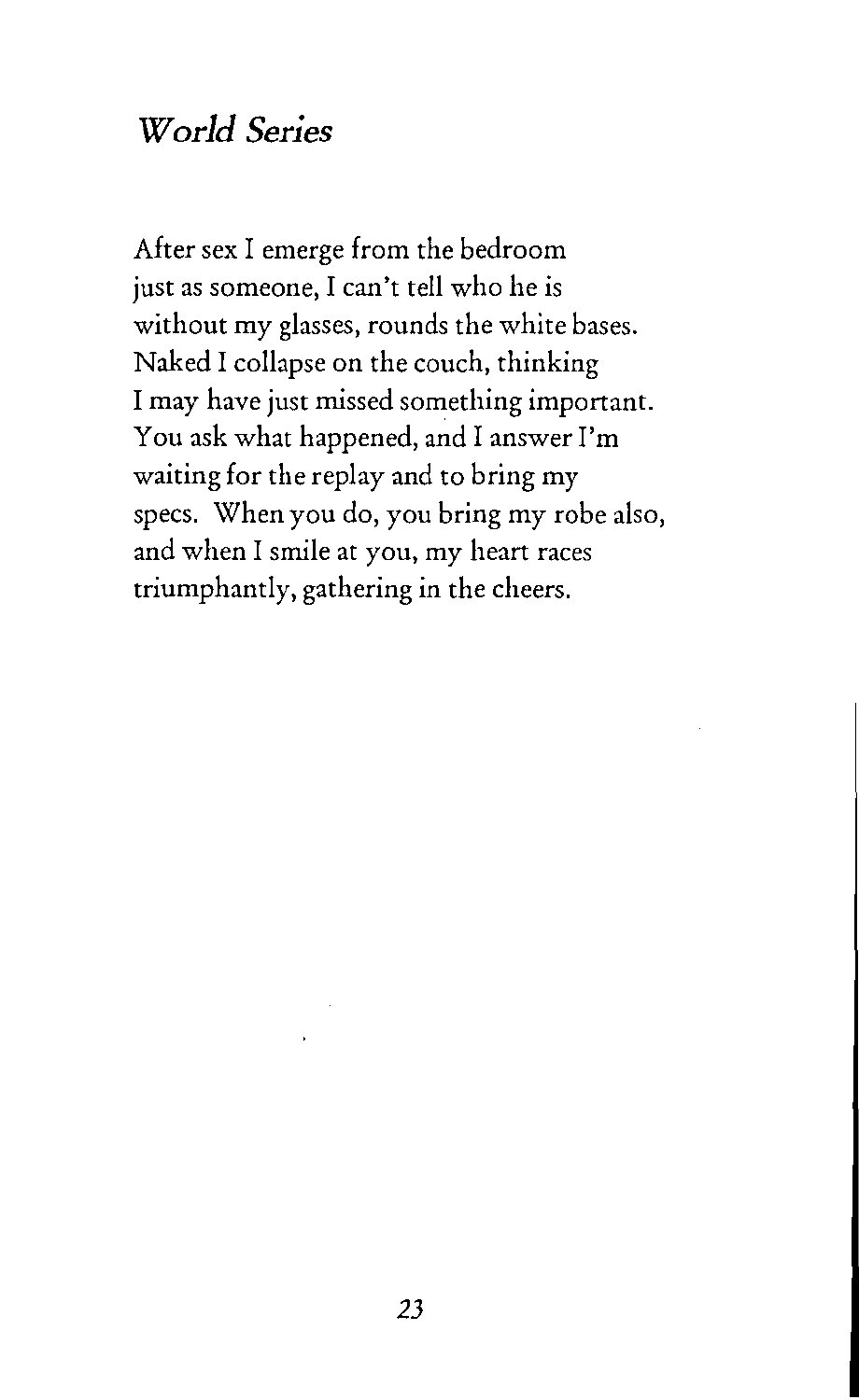## *World Series*

After sex I emerge from the bedroom just as someone, I can't tell who he is without my glasses, rounds the white bases. Naked I collapse on the couch, thinking I may have just missed something important. You ask what happened, and I answer I'm waiting for the replay and to bring my specs. When you do, you bring my robe also, and when I smile at you, my heart races triumphantly, gathering in the cheers.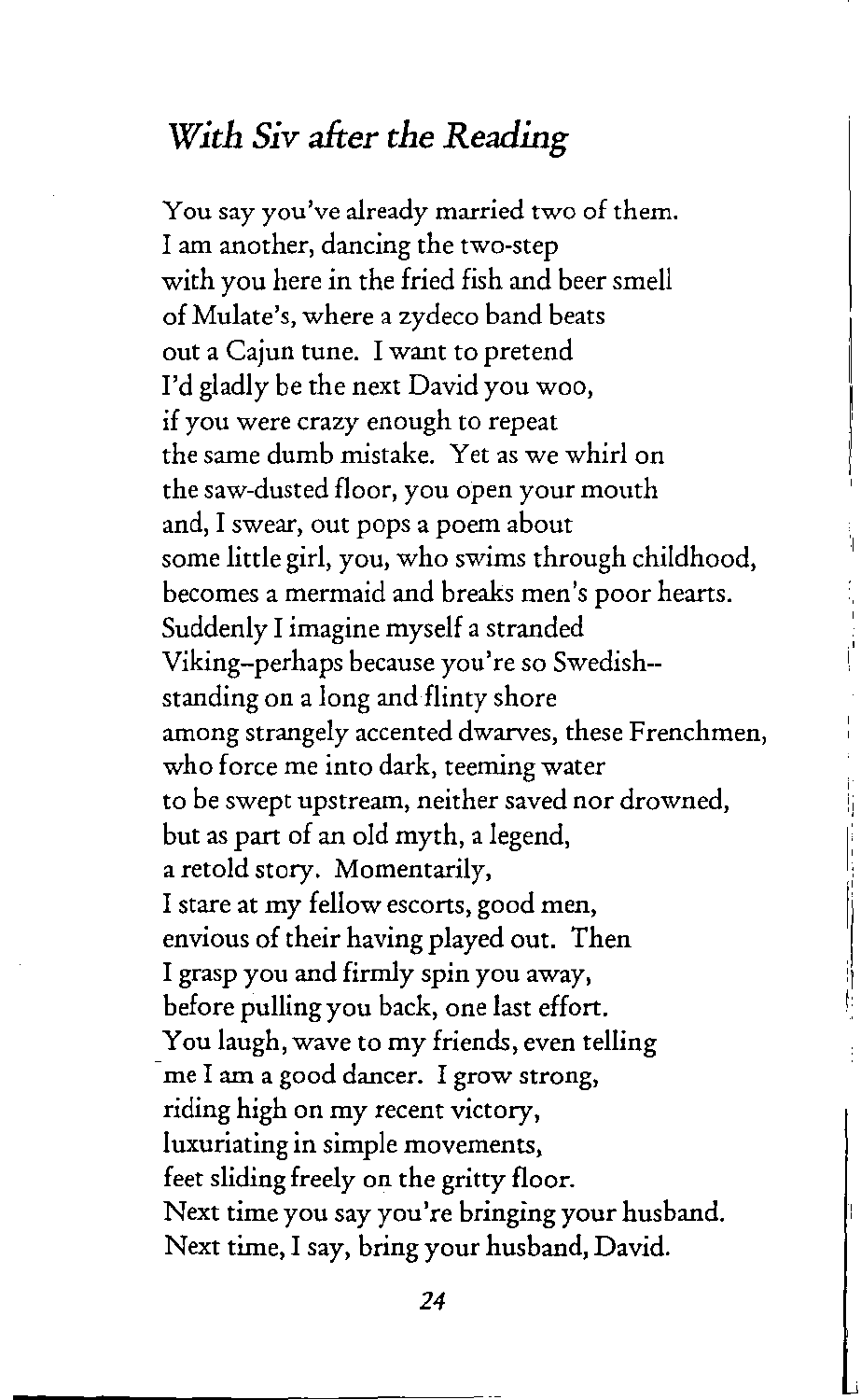#### *With Siv after the Reading*

You say you've already married two of them. I am another, dancing the two-step with you here in the fried fish and beer smell of Mulate's, where a zydeco band beats out a Cajun tune. I want to pretend I'd gladly be the next David you woo, if you were crazy enough to repeat the same dumb mistake. Yet as we whirl on the saw-dusted floor, you open your mouth and, I swear, out pops a poem about some little girl, you, who swims through childhood, becomes a mermaid and breaks men's poor hearts. Suddenly I imagine myself a stranded Viking-perhaps because you're so Swedish- standing on a long and flinty shore among strangely accented dwarves, these Frenchmen, who force me into dark, teeming water to be swept upstream, neither saved nor drowned, but as part of an old myth, a legend, a retold story. Momentarily, I stare at my fellow escorts, good men, envious of their having played out. Then I grasp you and firmly spin you away, before pulling you back, one last effort. You laugh, wave to my friends, even telling me I am a good dancer. I grow strong, riding high on my recent victory, **luxuriating in simple movements,** feet sliding freely on the gritty floor. Next time you say you're bringing your husband. Next time, I say, bring your husband, David.

24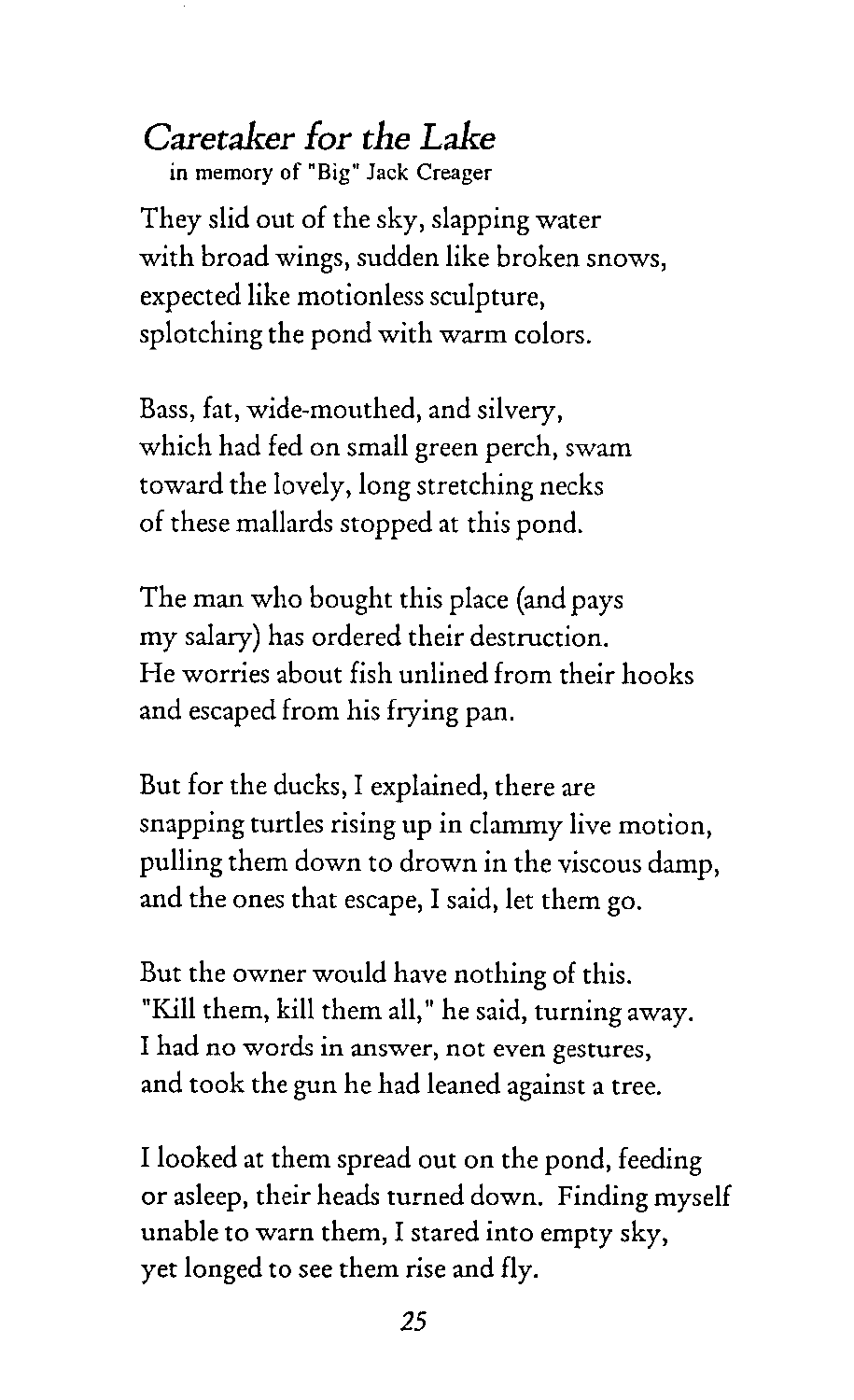# *Caretaker for the Lake*

**in memory of "Big" Jack Creager**

They slid out of the sky, slapping water with broad wings, sudden like broken snows, expected like motionless sculpture, splotching the pond with warm colors.

Bass, fat, wide-mouthed, and silvery, which had fed on small green perch, swam toward the lovely, long stretching necks of these mallards stopped at this pond.

The man who bought this place (and pays my salary) has ordered their destruction. He worries about fish unlined from their hooks and escaped from his frying pan.

But for the ducks, I explained, there are snapping turtles rising up in clammy live motion, pulling them down to drown in the viscous damp, and the ones that escape, I said, let them go.

But the owner would have nothing of this. "Kill them, kill them all," he said, turning away. **I had no words in answer, not even gestures,** and took the gun he had leaned against a tree.

I looked at them spread out on the pond, feeding or asleep, their heads turned down. Finding myself unable to warn them, I stared into empty sky, yet longed to see them rise and fly.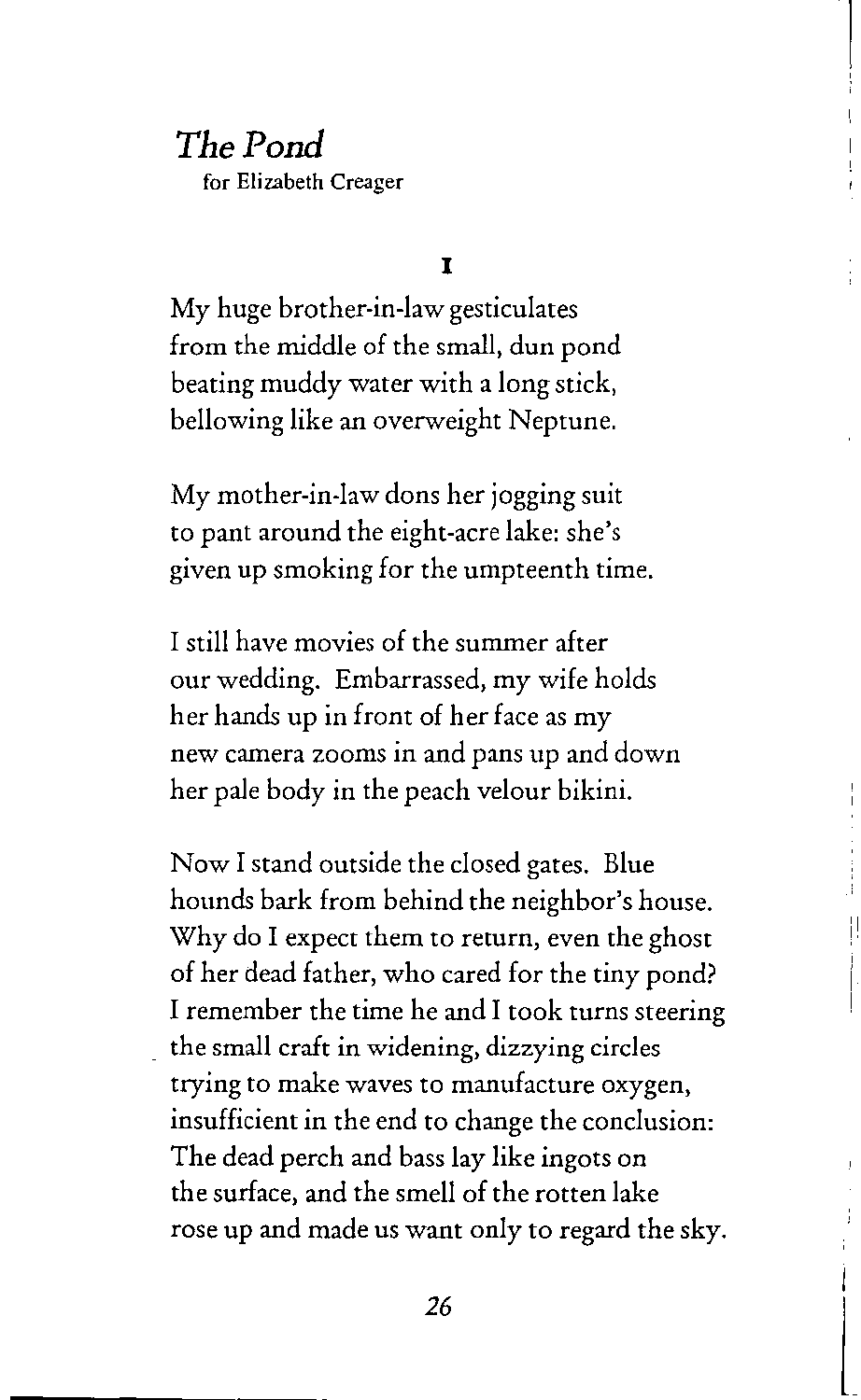## *The Pond*

**for Elizabeth Creager**

#### $\mathbf{r}$

My huge brother-in-law gesticulates from the middle of the small, dun pond beating muddy water with a long stick, bellowing like an overweight Neptune.

My mother-in-law dons her jogging suit to pant around the eight-acre lake: she's given up smoking for the umpteenth time.

I still have movies of the summer after our wedding. Embarrassed, my wife holds her hands up in front of her face as my new camera zooms in and pans up and down her pale body in the peach velour bikini.

Now I stand outside the closed gates. Blue hounds bark from behind the neighbor's house. Why do I expect them to return, even the ghost of her dead father, who cared for the tiny pond? I remember the time he and I took turns steering the small craft in widening, dizzying circles trying to make waves to manufacture oxygen, insufficient in the end to change the conclusion: The dead perch and bass lay like ingots on the surface, and the smell of the rotten lake rose up and made us want only to regard the sky.

I  $\overline{\mathsf{I}}$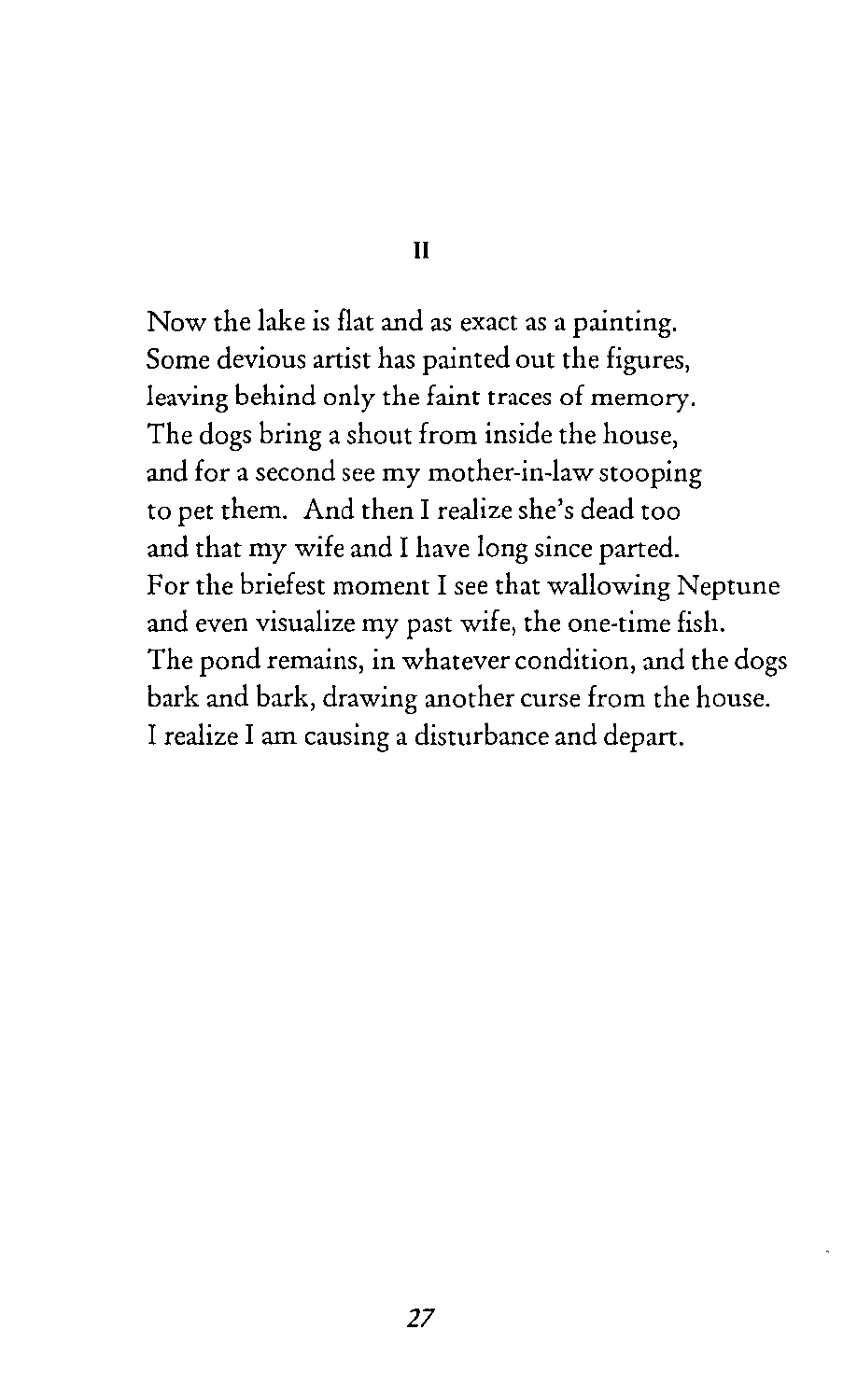#### II

Now the lake is flat and as exact as a painting. Some devious artist has painted out the figures, leaving behind only the faint traces of memory. The dogs bring a shout from inside the house, and for a second see my mother-in-law stooping to pet them. And then I realize she's dead too and that my wife and I have long since parted. For the briefest moment I see that wallowing Neptune and even visualize my past wife, the one-time fish. The pond remains, in whatever condition, and the dogs bark and bark, drawing another curse from the house. I realize I am causing a disturbance and depart.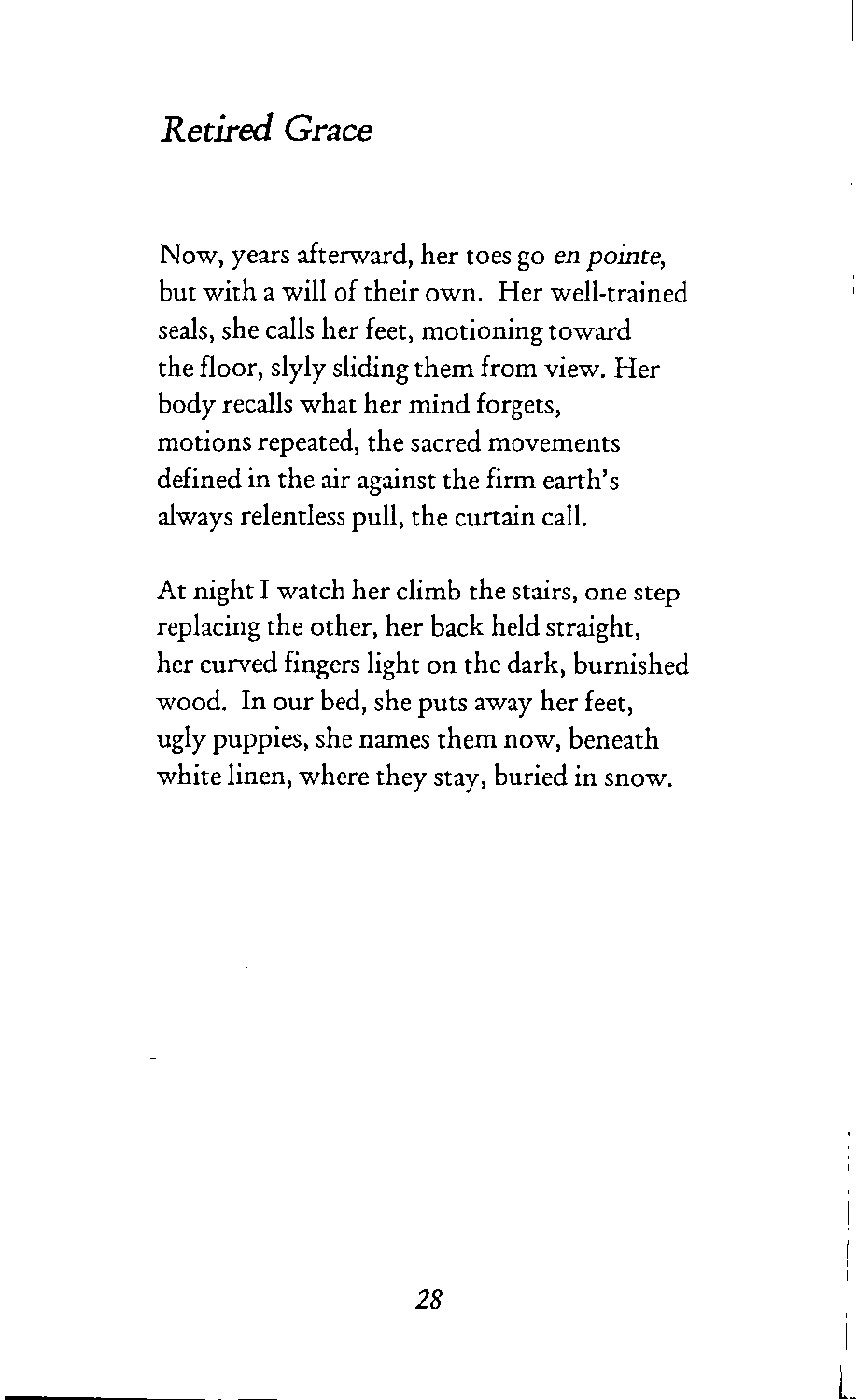#### *Retired Grace*

Now, years afterward, her toes go *en pointe,* but with a will of their own. Her well-trained seals, she calls her feet, motioning toward the floor, slyly sliding them from view. Her body recalls what her mind forgets, motions repeated, the sacred movements defined in the air against the firm earth's always relentless pull, the curtain call.

At night I watch her climb the stairs, one step replacing the other, her back held straight, her curved fingers light on the dark, burnished wood. In our bed, she puts away her feet, ugly puppies, she names them now, beneath white linen, where they stay, buried in snow.

L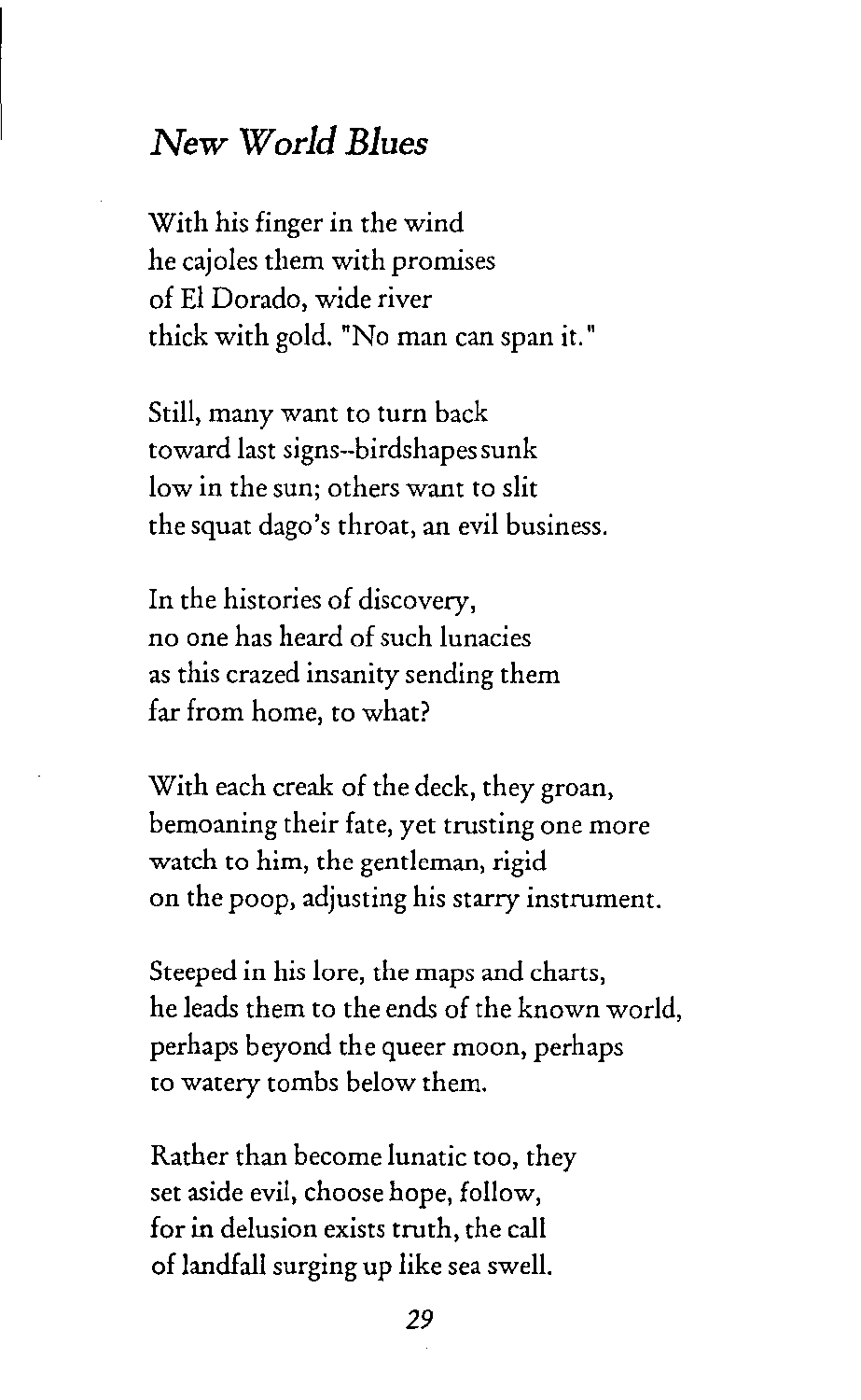#### *New World Blues*

With *his* finger *in* the wind he cajoles them with promises of EI Dorado, wide river thick with gold. "No man can span it."

Still, many want to turn back toward last signs--birdshapes sunk low in the sun; others want to slit the squat dago's throat, an evil business.

In the histories of discovery, no one has heard ofsuch lunacies as this crazed insanity sending them far from home, to what?

With each creak of the deck, they groan, bemoaning their fate, yet trusting one more watch to him, the gentleman, rigid on the poop, adjusting his starry instrument.

Steeped in his lore, the maps and charts, he leads them to the ends of the known world, perhaps beyond the queer moon, perhaps to watery tombs below them.

Rather than become lunatic too, they set aside evil, choose hope, follow, for in delusion exists truth, the call of landfall surging up like sea swell.

29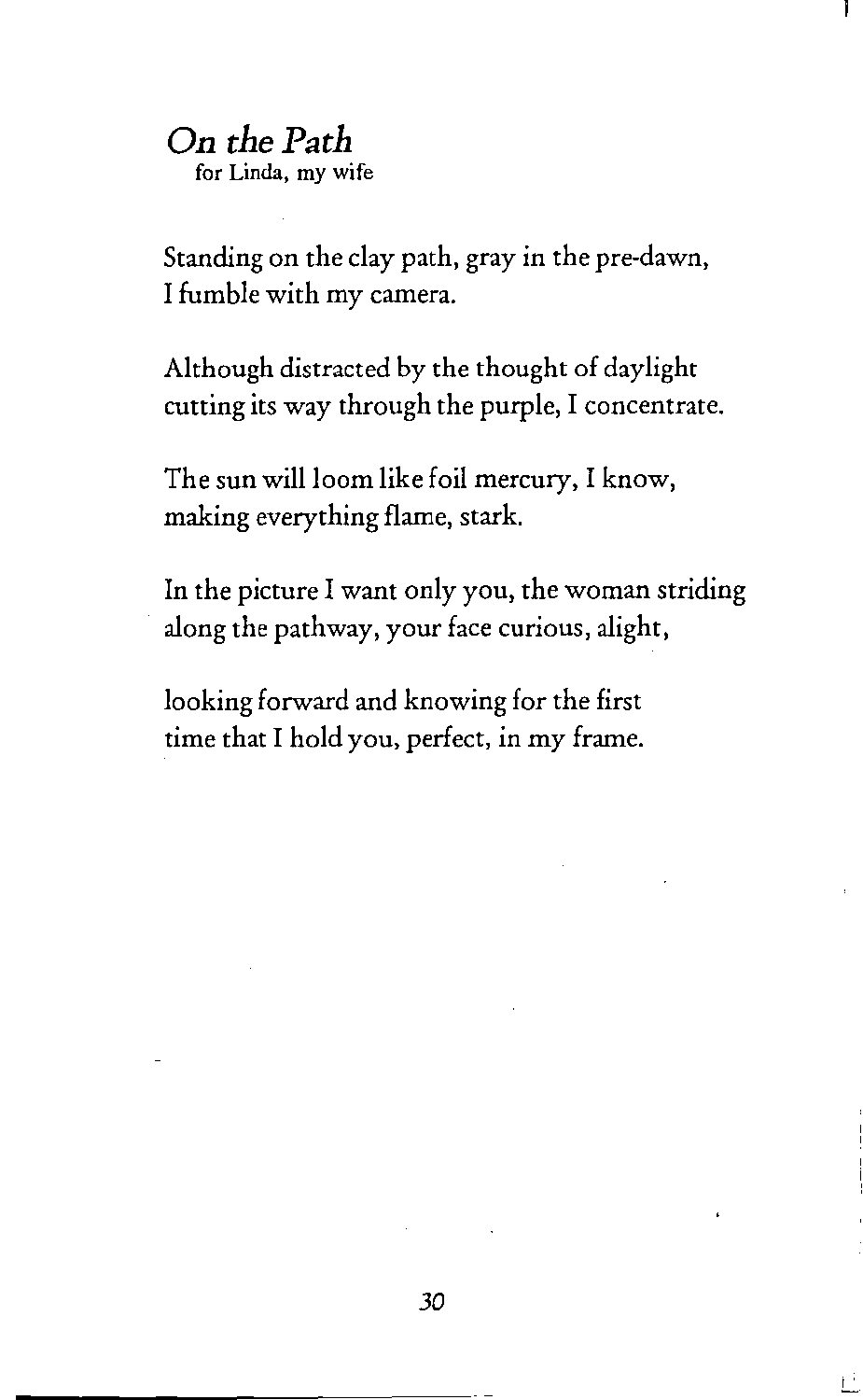## *On the Path*

**for Linda, my wife**

Standing on the clay path, gray in the pre-dawn, I fumble with my camera.

ı

Although distracted by the thought of daylight cutting its way through the purple, I concentrate.

The sun will loom like foil mercury, I know, making everything flame, stark.

In the picture I want only you, the woman striding along the pathway, your face curious, alight,

looking forward and knowing for the first time that I hold you, perfect, in my frame.